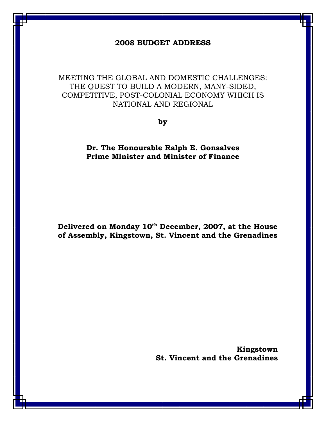## 2008 BUDGET ADDRESS

MEETING THE GLOBAL AND DOMESTIC CHALLENGES: THE QUEST TO BUILD A MODERN, MANY-SIDED, COMPETITIVE, POST-COLONIAL ECONOMY WHICH IS NATIONAL AND REGIONAL

by

Dr. The Honourable Ralph E. Gonsalves Prime Minister and Minister of Finance

Delivered on Monday 10<sup>th</sup> December, 2007, at the House of Assembly, Kingstown, St. Vincent and the Grenadines

> Kingstown St. Vincent and the Grenadines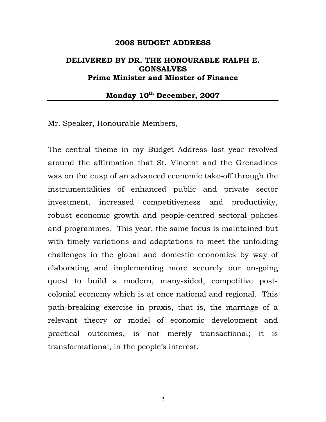#### 2008 BUDGET ADDRESS

## DELIVERED BY DR. THE HONOURABLE RALPH E. GONSALVES Prime Minister and Minster of Finance

## Monday 10<sup>th</sup> December, 2007

Mr. Speaker, Honourable Members,

The central theme in my Budget Address last year revolved around the affirmation that St. Vincent and the Grenadines was on the cusp of an advanced economic take-off through the instrumentalities of enhanced public and private sector investment, increased competitiveness and productivity, robust economic growth and people-centred sectoral policies and programmes. This year, the same focus is maintained but with timely variations and adaptations to meet the unfolding challenges in the global and domestic economies by way of elaborating and implementing more securely our on-going quest to build a modern, many-sided, competitive postcolonial economy which is at once national and regional. This path-breaking exercise in praxis, that is, the marriage of a relevant theory or model of economic development and practical outcomes, is not merely transactional; it is transformational, in the people's interest.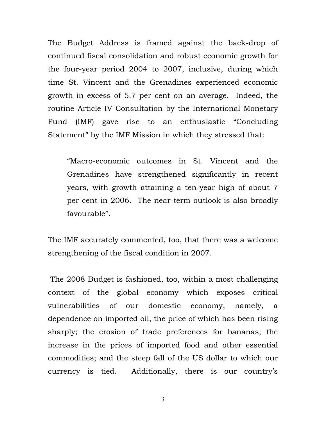The Budget Address is framed against the back-drop of continued fiscal consolidation and robust economic growth for the four-year period 2004 to 2007, inclusive, during which time St. Vincent and the Grenadines experienced economic growth in excess of 5.7 per cent on an average. Indeed, the routine Article IV Consultation by the International Monetary Fund (IMF) gave rise to an enthusiastic "Concluding Statement" by the IMF Mission in which they stressed that:

"Macro-economic outcomes in St. Vincent and the Grenadines have strengthened significantly in recent years, with growth attaining a ten-year high of about 7 per cent in 2006. The near-term outlook is also broadly favourable".

The IMF accurately commented, too, that there was a welcome strengthening of the fiscal condition in 2007.

 The 2008 Budget is fashioned, too, within a most challenging context of the global economy which exposes critical vulnerabilities of our domestic economy, namely, a dependence on imported oil, the price of which has been rising sharply; the erosion of trade preferences for bananas; the increase in the prices of imported food and other essential commodities; and the steep fall of the US dollar to which our currency is tied. Additionally, there is our country's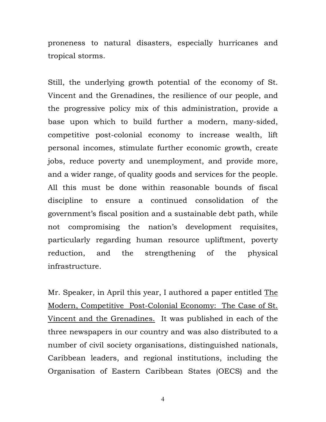proneness to natural disasters, especially hurricanes and tropical storms.

Still, the underlying growth potential of the economy of St. Vincent and the Grenadines, the resilience of our people, and the progressive policy mix of this administration, provide a base upon which to build further a modern, many-sided, competitive post-colonial economy to increase wealth, lift personal incomes, stimulate further economic growth, create jobs, reduce poverty and unemployment, and provide more, and a wider range, of quality goods and services for the people. All this must be done within reasonable bounds of fiscal discipline to ensure a continued consolidation of the government's fiscal position and a sustainable debt path, while not compromising the nation's development requisites, particularly regarding human resource upliftment, poverty reduction, and the strengthening of the physical infrastructure.

Mr. Speaker, in April this year, I authored a paper entitled The Modern, Competitive Post-Colonial Economy: The Case of St. Vincent and the Grenadines. It was published in each of the three newspapers in our country and was also distributed to a number of civil society organisations, distinguished nationals, Caribbean leaders, and regional institutions, including the Organisation of Eastern Caribbean States (OECS) and the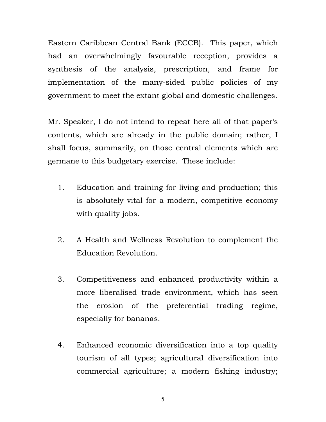Eastern Caribbean Central Bank (ECCB). This paper, which had an overwhelmingly favourable reception, provides a synthesis of the analysis, prescription, and frame for implementation of the many-sided public policies of my government to meet the extant global and domestic challenges.

Mr. Speaker, I do not intend to repeat here all of that paper's contents, which are already in the public domain; rather, I shall focus, summarily, on those central elements which are germane to this budgetary exercise. These include:

- 1. Education and training for living and production; this is absolutely vital for a modern, competitive economy with quality jobs.
- 2. A Health and Wellness Revolution to complement the Education Revolution.
- 3. Competitiveness and enhanced productivity within a more liberalised trade environment, which has seen the erosion of the preferential trading regime, especially for bananas.
- 4. Enhanced economic diversification into a top quality tourism of all types; agricultural diversification into commercial agriculture; a modern fishing industry;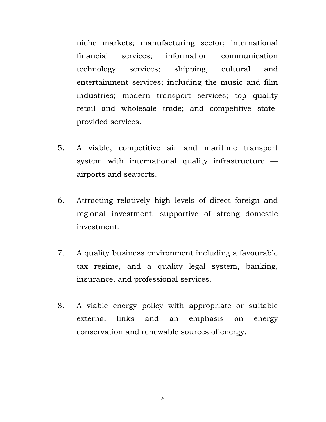niche markets; manufacturing sector; international financial services; information communication technology services; shipping, cultural and entertainment services; including the music and film industries; modern transport services; top quality retail and wholesale trade; and competitive stateprovided services.

- 5. A viable, competitive air and maritime transport system with international quality infrastructure airports and seaports.
- 6. Attracting relatively high levels of direct foreign and regional investment, supportive of strong domestic investment.
- 7. A quality business environment including a favourable tax regime, and a quality legal system, banking, insurance, and professional services.
- 8. A viable energy policy with appropriate or suitable external links and an emphasis on energy conservation and renewable sources of energy.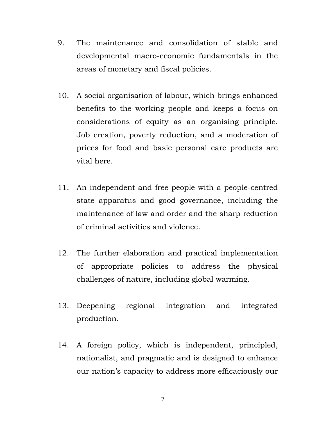- 9. The maintenance and consolidation of stable and developmental macro-economic fundamentals in the areas of monetary and fiscal policies.
- 10. A social organisation of labour, which brings enhanced benefits to the working people and keeps a focus on considerations of equity as an organising principle. Job creation, poverty reduction, and a moderation of prices for food and basic personal care products are vital here.
- 11. An independent and free people with a people-centred state apparatus and good governance, including the maintenance of law and order and the sharp reduction of criminal activities and violence.
- 12. The further elaboration and practical implementation of appropriate policies to address the physical challenges of nature, including global warming.
- 13. Deepening regional integration and integrated production.
- 14. A foreign policy, which is independent, principled, nationalist, and pragmatic and is designed to enhance our nation's capacity to address more efficaciously our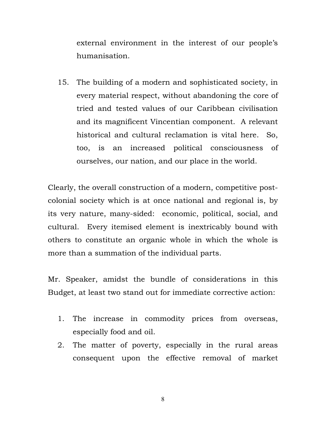external environment in the interest of our people's humanisation.

15. The building of a modern and sophisticated society, in every material respect, without abandoning the core of tried and tested values of our Caribbean civilisation and its magnificent Vincentian component. A relevant historical and cultural reclamation is vital here. So, too, is an increased political consciousness of ourselves, our nation, and our place in the world.

Clearly, the overall construction of a modern, competitive postcolonial society which is at once national and regional is, by its very nature, many-sided: economic, political, social, and cultural. Every itemised element is inextricably bound with others to constitute an organic whole in which the whole is more than a summation of the individual parts.

Mr. Speaker, amidst the bundle of considerations in this Budget, at least two stand out for immediate corrective action:

- 1. The increase in commodity prices from overseas, especially food and oil.
- 2. The matter of poverty, especially in the rural areas consequent upon the effective removal of market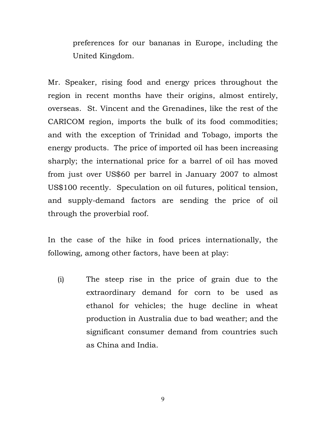preferences for our bananas in Europe, including the United Kingdom.

Mr. Speaker, rising food and energy prices throughout the region in recent months have their origins, almost entirely, overseas. St. Vincent and the Grenadines, like the rest of the CARICOM region, imports the bulk of its food commodities; and with the exception of Trinidad and Tobago, imports the energy products. The price of imported oil has been increasing sharply; the international price for a barrel of oil has moved from just over US\$60 per barrel in January 2007 to almost US\$100 recently. Speculation on oil futures, political tension, and supply-demand factors are sending the price of oil through the proverbial roof.

In the case of the hike in food prices internationally, the following, among other factors, have been at play:

(i) The steep rise in the price of grain due to the extraordinary demand for corn to be used as ethanol for vehicles; the huge decline in wheat production in Australia due to bad weather; and the significant consumer demand from countries such as China and India.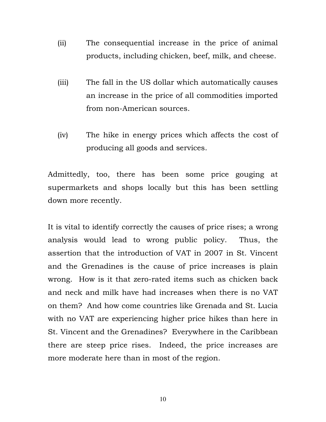- (ii) The consequential increase in the price of animal products, including chicken, beef, milk, and cheese.
- (iii) The fall in the US dollar which automatically causes an increase in the price of all commodities imported from non-American sources.
- (iv) The hike in energy prices which affects the cost of producing all goods and services.

Admittedly, too, there has been some price gouging at supermarkets and shops locally but this has been settling down more recently.

It is vital to identify correctly the causes of price rises; a wrong analysis would lead to wrong public policy. Thus, the assertion that the introduction of VAT in 2007 in St. Vincent and the Grenadines is the cause of price increases is plain wrong. How is it that zero-rated items such as chicken back and neck and milk have had increases when there is no VAT on them? And how come countries like Grenada and St. Lucia with no VAT are experiencing higher price hikes than here in St. Vincent and the Grenadines? Everywhere in the Caribbean there are steep price rises. Indeed, the price increases are more moderate here than in most of the region.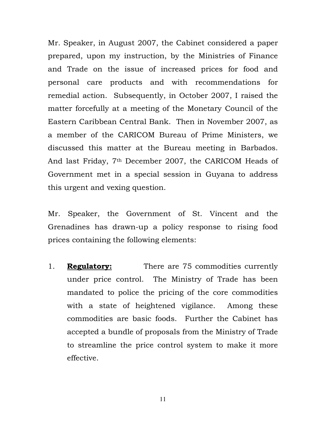Mr. Speaker, in August 2007, the Cabinet considered a paper prepared, upon my instruction, by the Ministries of Finance and Trade on the issue of increased prices for food and personal care products and with recommendations for remedial action. Subsequently, in October 2007, I raised the matter forcefully at a meeting of the Monetary Council of the Eastern Caribbean Central Bank. Then in November 2007, as a member of the CARICOM Bureau of Prime Ministers, we discussed this matter at the Bureau meeting in Barbados. And last Friday, 7th December 2007, the CARICOM Heads of Government met in a special session in Guyana to address this urgent and vexing question.

Mr. Speaker, the Government of St. Vincent and the Grenadines has drawn-up a policy response to rising food prices containing the following elements:

1. **Regulatory:** There are 75 commodities currently under price control. The Ministry of Trade has been mandated to police the pricing of the core commodities with a state of heightened vigilance. Among these commodities are basic foods. Further the Cabinet has accepted a bundle of proposals from the Ministry of Trade to streamline the price control system to make it more effective.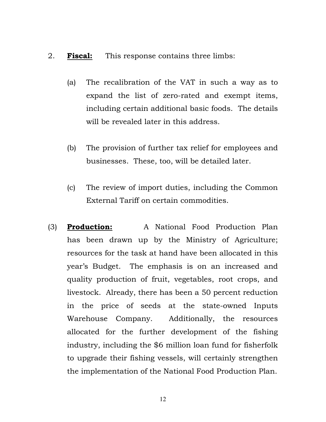### 2. **Fiscal:** This response contains three limbs:

- (a) The recalibration of the VAT in such a way as to expand the list of zero-rated and exempt items, including certain additional basic foods. The details will be revealed later in this address.
- (b) The provision of further tax relief for employees and businesses. These, too, will be detailed later.
- (c) The review of import duties, including the Common External Tariff on certain commodities.
- (3) Production: A National Food Production Plan has been drawn up by the Ministry of Agriculture; resources for the task at hand have been allocated in this year's Budget. The emphasis is on an increased and quality production of fruit, vegetables, root crops, and livestock. Already, there has been a 50 percent reduction in the price of seeds at the state-owned Inputs Warehouse Company. Additionally, the resources allocated for the further development of the fishing industry, including the \$6 million loan fund for fisherfolk to upgrade their fishing vessels, will certainly strengthen the implementation of the National Food Production Plan.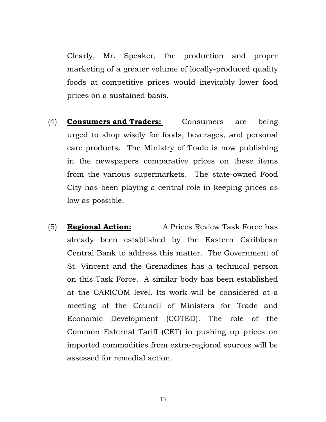Clearly, Mr. Speaker, the production and proper marketing of a greater volume of locally-produced quality foods at competitive prices would inevitably lower food prices on a sustained basis.

- (4) Consumers and Traders: Consumers are being urged to shop wisely for foods, beverages, and personal care products. The Ministry of Trade is now publishing in the newspapers comparative prices on these items from the various supermarkets. The state-owned Food City has been playing a central role in keeping prices as low as possible.
- (5) **Regional Action:** A Prices Review Task Force has already been established by the Eastern Caribbean Central Bank to address this matter. The Government of St. Vincent and the Grenadines has a technical person on this Task Force. A similar body has been established at the CARICOM level. Its work will be considered at a meeting of the Council of Ministers for Trade and Economic Development (COTED). The role of the Common External Tariff (CET) in pushing up prices on imported commodities from extra-regional sources will be assessed for remedial action.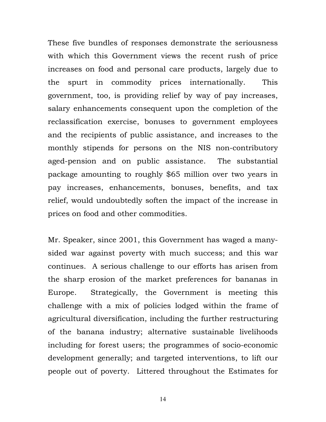These five bundles of responses demonstrate the seriousness with which this Government views the recent rush of price increases on food and personal care products, largely due to the spurt in commodity prices internationally. This government, too, is providing relief by way of pay increases, salary enhancements consequent upon the completion of the reclassification exercise, bonuses to government employees and the recipients of public assistance, and increases to the monthly stipends for persons on the NIS non-contributory aged-pension and on public assistance. The substantial package amounting to roughly \$65 million over two years in pay increases, enhancements, bonuses, benefits, and tax relief, would undoubtedly soften the impact of the increase in prices on food and other commodities.

Mr. Speaker, since 2001, this Government has waged a manysided war against poverty with much success; and this war continues. A serious challenge to our efforts has arisen from the sharp erosion of the market preferences for bananas in Europe. Strategically, the Government is meeting this challenge with a mix of policies lodged within the frame of agricultural diversification, including the further restructuring of the banana industry; alternative sustainable livelihoods including for forest users; the programmes of socio-economic development generally; and targeted interventions, to lift our people out of poverty. Littered throughout the Estimates for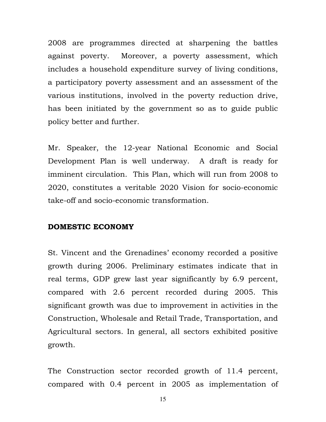2008 are programmes directed at sharpening the battles against poverty. Moreover, a poverty assessment, which includes a household expenditure survey of living conditions, a participatory poverty assessment and an assessment of the various institutions, involved in the poverty reduction drive, has been initiated by the government so as to guide public policy better and further.

Mr. Speaker, the 12-year National Economic and Social Development Plan is well underway. A draft is ready for imminent circulation. This Plan, which will run from 2008 to 2020, constitutes a veritable 2020 Vision for socio-economic take-off and socio-economic transformation.

### DOMESTIC ECONOMY

St. Vincent and the Grenadines' economy recorded a positive growth during 2006. Preliminary estimates indicate that in real terms, GDP grew last year significantly by 6.9 percent, compared with 2.6 percent recorded during 2005. This significant growth was due to improvement in activities in the Construction, Wholesale and Retail Trade, Transportation, and Agricultural sectors. In general, all sectors exhibited positive growth.

The Construction sector recorded growth of 11.4 percent, compared with 0.4 percent in 2005 as implementation of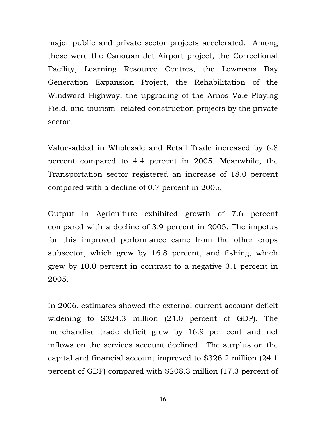major public and private sector projects accelerated. Among these were the Canouan Jet Airport project, the Correctional Facility, Learning Resource Centres, the Lowmans Bay Generation Expansion Project, the Rehabilitation of the Windward Highway, the upgrading of the Arnos Vale Playing Field, and tourism- related construction projects by the private sector.

Value-added in Wholesale and Retail Trade increased by 6.8 percent compared to 4.4 percent in 2005. Meanwhile, the Transportation sector registered an increase of 18.0 percent compared with a decline of 0.7 percent in 2005.

Output in Agriculture exhibited growth of 7.6 percent compared with a decline of 3.9 percent in 2005. The impetus for this improved performance came from the other crops subsector, which grew by 16.8 percent, and fishing, which grew by 10.0 percent in contrast to a negative 3.1 percent in 2005.

In 2006, estimates showed the external current account deficit widening to \$324.3 million (24.0 percent of GDP). The merchandise trade deficit grew by 16.9 per cent and net inflows on the services account declined. The surplus on the capital and financial account improved to \$326.2 million (24.1 percent of GDP) compared with \$208.3 million (17.3 percent of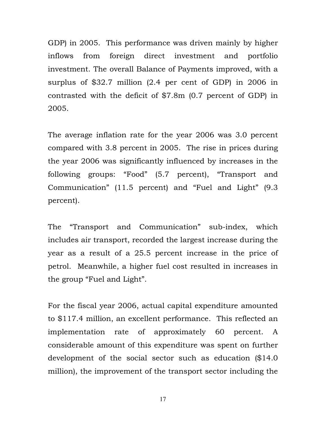GDP) in 2005. This performance was driven mainly by higher inflows from foreign direct investment and portfolio investment. The overall Balance of Payments improved, with a surplus of \$32.7 million (2.4 per cent of GDP) in 2006 in contrasted with the deficit of \$7.8m (0.7 percent of GDP) in 2005.

The average inflation rate for the year 2006 was 3.0 percent compared with 3.8 percent in 2005. The rise in prices during the year 2006 was significantly influenced by increases in the following groups: "Food" (5.7 percent), "Transport and Communication" (11.5 percent) and "Fuel and Light" (9.3 percent).

The "Transport and Communication" sub-index, which includes air transport, recorded the largest increase during the year as a result of a 25.5 percent increase in the price of petrol. Meanwhile, a higher fuel cost resulted in increases in the group "Fuel and Light".

For the fiscal year 2006, actual capital expenditure amounted to \$117.4 million, an excellent performance. This reflected an implementation rate of approximately 60 percent. A considerable amount of this expenditure was spent on further development of the social sector such as education (\$14.0 million), the improvement of the transport sector including the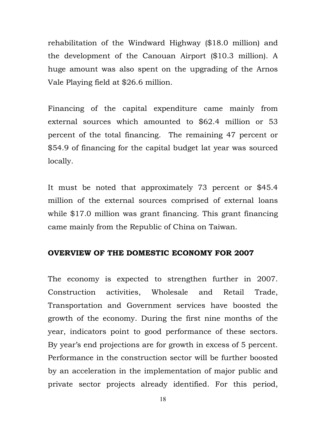rehabilitation of the Windward Highway (\$18.0 million) and the development of the Canouan Airport (\$10.3 million). A huge amount was also spent on the upgrading of the Arnos Vale Playing field at \$26.6 million.

Financing of the capital expenditure came mainly from external sources which amounted to \$62.4 million or 53 percent of the total financing. The remaining 47 percent or \$54.9 of financing for the capital budget lat year was sourced locally.

It must be noted that approximately 73 percent or \$45.4 million of the external sources comprised of external loans while \$17.0 million was grant financing. This grant financing came mainly from the Republic of China on Taiwan.

## OVERVIEW OF THE DOMESTIC ECONOMY FOR 2007

The economy is expected to strengthen further in 2007. Construction activities, Wholesale and Retail Trade, Transportation and Government services have boosted the growth of the economy. During the first nine months of the year, indicators point to good performance of these sectors. By year's end projections are for growth in excess of 5 percent. Performance in the construction sector will be further boosted by an acceleration in the implementation of major public and private sector projects already identified. For this period,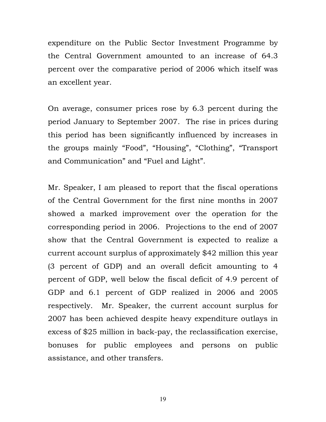expenditure on the Public Sector Investment Programme by the Central Government amounted to an increase of 64.3 percent over the comparative period of 2006 which itself was an excellent year.

On average, consumer prices rose by 6.3 percent during the period January to September 2007. The rise in prices during this period has been significantly influenced by increases in the groups mainly "Food", "Housing", "Clothing", "Transport and Communication" and "Fuel and Light".

Mr. Speaker, I am pleased to report that the fiscal operations of the Central Government for the first nine months in 2007 showed a marked improvement over the operation for the corresponding period in 2006. Projections to the end of 2007 show that the Central Government is expected to realize a current account surplus of approximately \$42 million this year (3 percent of GDP) and an overall deficit amounting to 4 percent of GDP, well below the fiscal deficit of 4.9 percent of GDP and 6.1 percent of GDP realized in 2006 and 2005 respectively. Mr. Speaker, the current account surplus for 2007 has been achieved despite heavy expenditure outlays in excess of \$25 million in back-pay, the reclassification exercise, bonuses for public employees and persons on public assistance, and other transfers.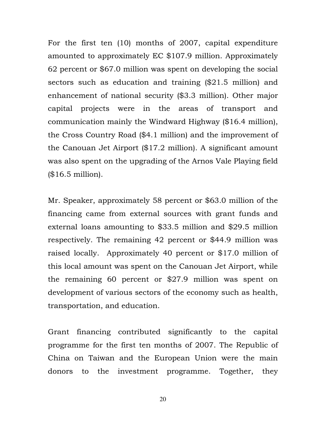For the first ten (10) months of 2007, capital expenditure amounted to approximately EC \$107.9 million. Approximately 62 percent or \$67.0 million was spent on developing the social sectors such as education and training (\$21.5 million) and enhancement of national security (\$3.3 million). Other major capital projects were in the areas of transport and communication mainly the Windward Highway (\$16.4 million), the Cross Country Road (\$4.1 million) and the improvement of the Canouan Jet Airport (\$17.2 million). A significant amount was also spent on the upgrading of the Arnos Vale Playing field (\$16.5 million).

Mr. Speaker, approximately 58 percent or \$63.0 million of the financing came from external sources with grant funds and external loans amounting to \$33.5 million and \$29.5 million respectively. The remaining 42 percent or \$44.9 million was raised locally. Approximately 40 percent or \$17.0 million of this local amount was spent on the Canouan Jet Airport, while the remaining 60 percent or \$27.9 million was spent on development of various sectors of the economy such as health, transportation, and education.

Grant financing contributed significantly to the capital programme for the first ten months of 2007. The Republic of China on Taiwan and the European Union were the main donors to the investment programme. Together, they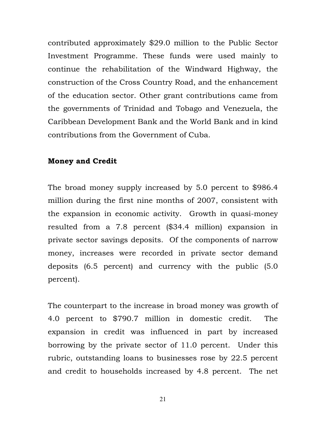contributed approximately \$29.0 million to the Public Sector Investment Programme. These funds were used mainly to continue the rehabilitation of the Windward Highway, the construction of the Cross Country Road, and the enhancement of the education sector. Other grant contributions came from the governments of Trinidad and Tobago and Venezuela, the Caribbean Development Bank and the World Bank and in kind contributions from the Government of Cuba.

#### Money and Credit

The broad money supply increased by 5.0 percent to \$986.4 million during the first nine months of 2007, consistent with the expansion in economic activity. Growth in quasi-money resulted from a 7.8 percent (\$34.4 million) expansion in private sector savings deposits. Of the components of narrow money, increases were recorded in private sector demand deposits (6.5 percent) and currency with the public (5.0 percent).

The counterpart to the increase in broad money was growth of 4.0 percent to \$790.7 million in domestic credit. The expansion in credit was influenced in part by increased borrowing by the private sector of 11.0 percent. Under this rubric, outstanding loans to businesses rose by 22.5 percent and credit to households increased by 4.8 percent. The net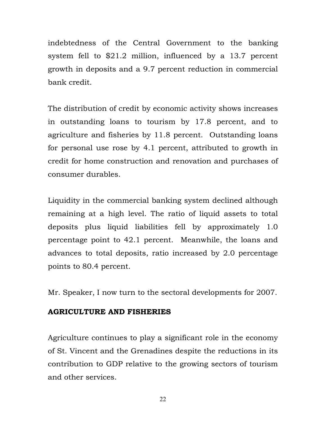indebtedness of the Central Government to the banking system fell to \$21.2 million, influenced by a 13.7 percent growth in deposits and a 9.7 percent reduction in commercial bank credit.

The distribution of credit by economic activity shows increases in outstanding loans to tourism by 17.8 percent, and to agriculture and fisheries by 11.8 percent. Outstanding loans for personal use rose by 4.1 percent, attributed to growth in credit for home construction and renovation and purchases of consumer durables.

Liquidity in the commercial banking system declined although remaining at a high level. The ratio of liquid assets to total deposits plus liquid liabilities fell by approximately 1.0 percentage point to 42.1 percent. Meanwhile, the loans and advances to total deposits, ratio increased by 2.0 percentage points to 80.4 percent.

Mr. Speaker, I now turn to the sectoral developments for 2007.

## AGRICULTURE AND FISHERIES

Agriculture continues to play a significant role in the economy of St. Vincent and the Grenadines despite the reductions in its contribution to GDP relative to the growing sectors of tourism and other services.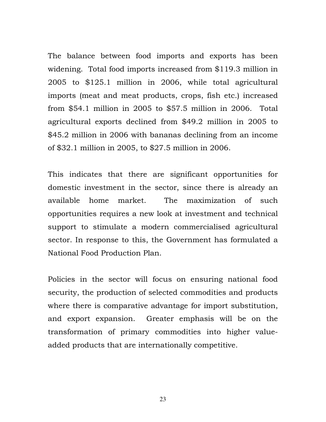The balance between food imports and exports has been widening. Total food imports increased from \$119.3 million in 2005 to \$125.1 million in 2006, while total agricultural imports (meat and meat products, crops, fish etc.) increased from \$54.1 million in 2005 to \$57.5 million in 2006. Total agricultural exports declined from \$49.2 million in 2005 to \$45.2 million in 2006 with bananas declining from an income of \$32.1 million in 2005, to \$27.5 million in 2006.

This indicates that there are significant opportunities for domestic investment in the sector, since there is already an available home market. The maximization of such opportunities requires a new look at investment and technical support to stimulate a modern commercialised agricultural sector. In response to this, the Government has formulated a National Food Production Plan.

Policies in the sector will focus on ensuring national food security, the production of selected commodities and products where there is comparative advantage for import substitution, and export expansion. Greater emphasis will be on the transformation of primary commodities into higher valueadded products that are internationally competitive.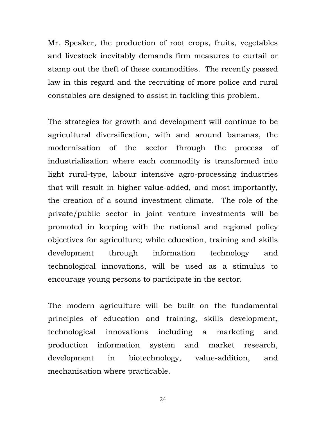Mr. Speaker, the production of root crops, fruits, vegetables and livestock inevitably demands firm measures to curtail or stamp out the theft of these commodities. The recently passed law in this regard and the recruiting of more police and rural constables are designed to assist in tackling this problem.

The strategies for growth and development will continue to be agricultural diversification, with and around bananas, the modernisation of the sector through the process of industrialisation where each commodity is transformed into light rural-type, labour intensive agro-processing industries that will result in higher value-added, and most importantly, the creation of a sound investment climate. The role of the private/public sector in joint venture investments will be promoted in keeping with the national and regional policy objectives for agriculture; while education, training and skills development through information technology and technological innovations, will be used as a stimulus to encourage young persons to participate in the sector.

The modern agriculture will be built on the fundamental principles of education and training, skills development, technological innovations including a marketing and production information system and market research, development in biotechnology, value-addition, and mechanisation where practicable.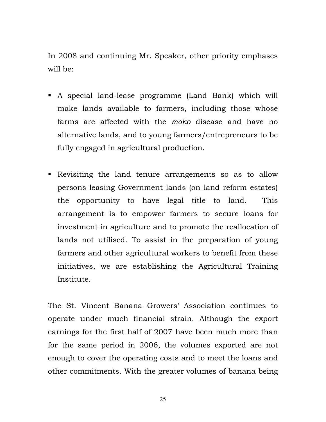In 2008 and continuing Mr. Speaker, other priority emphases will be:

- A special land-lease programme (Land Bank) which will make lands available to farmers, including those whose farms are affected with the moko disease and have no alternative lands, and to young farmers/entrepreneurs to be fully engaged in agricultural production.
- Revisiting the land tenure arrangements so as to allow persons leasing Government lands (on land reform estates) the opportunity to have legal title to land. This arrangement is to empower farmers to secure loans for investment in agriculture and to promote the reallocation of lands not utilised. To assist in the preparation of young farmers and other agricultural workers to benefit from these initiatives, we are establishing the Agricultural Training Institute.

The St. Vincent Banana Growers' Association continues to operate under much financial strain. Although the export earnings for the first half of 2007 have been much more than for the same period in 2006, the volumes exported are not enough to cover the operating costs and to meet the loans and other commitments. With the greater volumes of banana being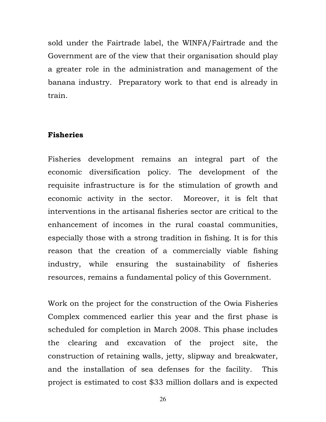sold under the Fairtrade label, the WINFA/Fairtrade and the Government are of the view that their organisation should play a greater role in the administration and management of the banana industry. Preparatory work to that end is already in train.

### Fisheries

Fisheries development remains an integral part of the economic diversification policy. The development of the requisite infrastructure is for the stimulation of growth and economic activity in the sector. Moreover, it is felt that interventions in the artisanal fisheries sector are critical to the enhancement of incomes in the rural coastal communities, especially those with a strong tradition in fishing. It is for this reason that the creation of a commercially viable fishing industry, while ensuring the sustainability of fisheries resources, remains a fundamental policy of this Government.

Work on the project for the construction of the Owia Fisheries Complex commenced earlier this year and the first phase is scheduled for completion in March 2008. This phase includes the clearing and excavation of the project site, the construction of retaining walls, jetty, slipway and breakwater, and the installation of sea defenses for the facility. This project is estimated to cost \$33 million dollars and is expected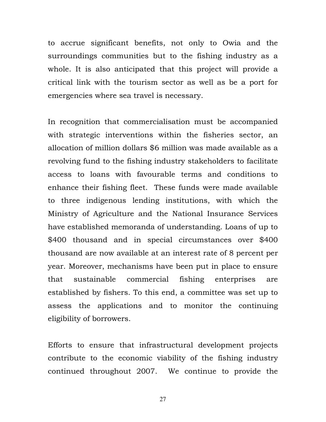to accrue significant benefits, not only to Owia and the surroundings communities but to the fishing industry as a whole. It is also anticipated that this project will provide a critical link with the tourism sector as well as be a port for emergencies where sea travel is necessary.

In recognition that commercialisation must be accompanied with strategic interventions within the fisheries sector, an allocation of million dollars \$6 million was made available as a revolving fund to the fishing industry stakeholders to facilitate access to loans with favourable terms and conditions to enhance their fishing fleet. These funds were made available to three indigenous lending institutions, with which the Ministry of Agriculture and the National Insurance Services have established memoranda of understanding. Loans of up to \$400 thousand and in special circumstances over \$400 thousand are now available at an interest rate of 8 percent per year. Moreover, mechanisms have been put in place to ensure that sustainable commercial fishing enterprises are established by fishers. To this end, a committee was set up to assess the applications and to monitor the continuing eligibility of borrowers.

Efforts to ensure that infrastructural development projects contribute to the economic viability of the fishing industry continued throughout 2007. We continue to provide the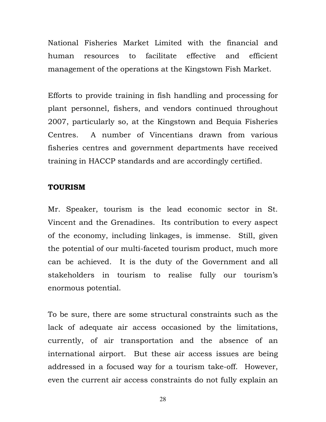National Fisheries Market Limited with the financial and human resources to facilitate effective and efficient management of the operations at the Kingstown Fish Market.

Efforts to provide training in fish handling and processing for plant personnel, fishers, and vendors continued throughout 2007, particularly so, at the Kingstown and Bequia Fisheries Centres. A number of Vincentians drawn from various fisheries centres and government departments have received training in HACCP standards and are accordingly certified.

### TOURISM

Mr. Speaker, tourism is the lead economic sector in St. Vincent and the Grenadines. Its contribution to every aspect of the economy, including linkages, is immense. Still, given the potential of our multi-faceted tourism product, much more can be achieved. It is the duty of the Government and all stakeholders in tourism to realise fully our tourism's enormous potential.

To be sure, there are some structural constraints such as the lack of adequate air access occasioned by the limitations, currently, of air transportation and the absence of an international airport. But these air access issues are being addressed in a focused way for a tourism take-off. However, even the current air access constraints do not fully explain an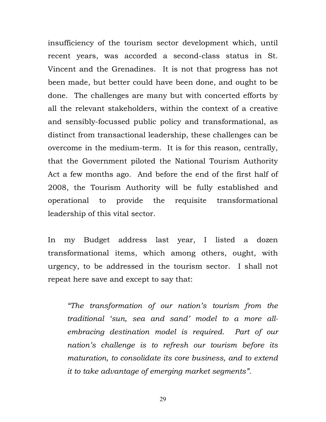insufficiency of the tourism sector development which, until recent years, was accorded a second-class status in St. Vincent and the Grenadines. It is not that progress has not been made, but better could have been done, and ought to be done. The challenges are many but with concerted efforts by all the relevant stakeholders, within the context of a creative and sensibly-focussed public policy and transformational, as distinct from transactional leadership, these challenges can be overcome in the medium-term. It is for this reason, centrally, that the Government piloted the National Tourism Authority Act a few months ago. And before the end of the first half of 2008, the Tourism Authority will be fully established and operational to provide the requisite transformational leadership of this vital sector.

In my Budget address last year, I listed a dozen transformational items, which among others, ought, with urgency, to be addressed in the tourism sector. I shall not repeat here save and except to say that:

"The transformation of our nation's tourism from the traditional 'sun, sea and sand' model to a more allembracing destination model is required. Part of our nation's challenge is to refresh our tourism before its maturation, to consolidate its core business, and to extend it to take advantage of emerging market segments".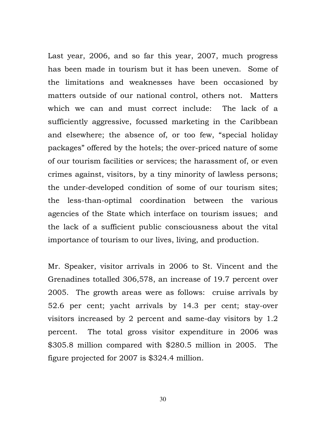Last year, 2006, and so far this year, 2007, much progress has been made in tourism but it has been uneven. Some of the limitations and weaknesses have been occasioned by matters outside of our national control, others not. Matters which we can and must correct include: The lack of a sufficiently aggressive, focussed marketing in the Caribbean and elsewhere; the absence of, or too few, "special holiday packages" offered by the hotels; the over-priced nature of some of our tourism facilities or services; the harassment of, or even crimes against, visitors, by a tiny minority of lawless persons; the under-developed condition of some of our tourism sites; the less-than-optimal coordination between the various agencies of the State which interface on tourism issues; and the lack of a sufficient public consciousness about the vital importance of tourism to our lives, living, and production.

Mr. Speaker, visitor arrivals in 2006 to St. Vincent and the Grenadines totalled 306,578, an increase of 19.7 percent over 2005. The growth areas were as follows: cruise arrivals by 52.6 per cent; yacht arrivals by 14.3 per cent; stay-over visitors increased by 2 percent and same-day visitors by 1.2 percent. The total gross visitor expenditure in 2006 was \$305.8 million compared with \$280.5 million in 2005. The figure projected for 2007 is \$324.4 million.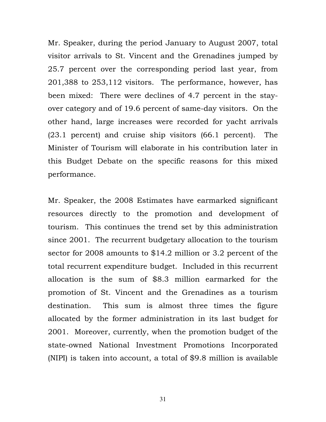Mr. Speaker, during the period January to August 2007, total visitor arrivals to St. Vincent and the Grenadines jumped by 25.7 percent over the corresponding period last year, from 201,388 to 253,112 visitors. The performance, however, has been mixed: There were declines of 4.7 percent in the stayover category and of 19.6 percent of same-day visitors. On the other hand, large increases were recorded for yacht arrivals (23.1 percent) and cruise ship visitors (66.1 percent). The Minister of Tourism will elaborate in his contribution later in this Budget Debate on the specific reasons for this mixed performance.

Mr. Speaker, the 2008 Estimates have earmarked significant resources directly to the promotion and development of tourism. This continues the trend set by this administration since 2001. The recurrent budgetary allocation to the tourism sector for 2008 amounts to \$14.2 million or 3.2 percent of the total recurrent expenditure budget. Included in this recurrent allocation is the sum of \$8.3 million earmarked for the promotion of St. Vincent and the Grenadines as a tourism destination. This sum is almost three times the figure allocated by the former administration in its last budget for 2001. Moreover, currently, when the promotion budget of the state-owned National Investment Promotions Incorporated (NIPI) is taken into account, a total of \$9.8 million is available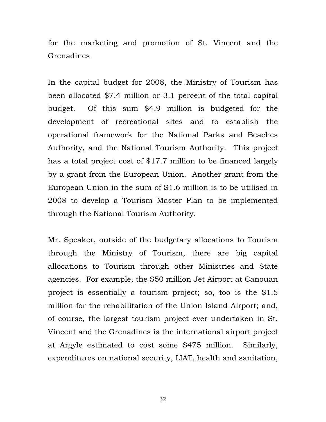for the marketing and promotion of St. Vincent and the Grenadines.

In the capital budget for 2008, the Ministry of Tourism has been allocated \$7.4 million or 3.1 percent of the total capital budget. Of this sum \$4.9 million is budgeted for the development of recreational sites and to establish the operational framework for the National Parks and Beaches Authority, and the National Tourism Authority. This project has a total project cost of \$17.7 million to be financed largely by a grant from the European Union. Another grant from the European Union in the sum of \$1.6 million is to be utilised in 2008 to develop a Tourism Master Plan to be implemented through the National Tourism Authority.

Mr. Speaker, outside of the budgetary allocations to Tourism through the Ministry of Tourism, there are big capital allocations to Tourism through other Ministries and State agencies. For example, the \$50 million Jet Airport at Canouan project is essentially a tourism project; so, too is the \$1.5 million for the rehabilitation of the Union Island Airport; and, of course, the largest tourism project ever undertaken in St. Vincent and the Grenadines is the international airport project at Argyle estimated to cost some \$475 million. Similarly, expenditures on national security, LIAT, health and sanitation,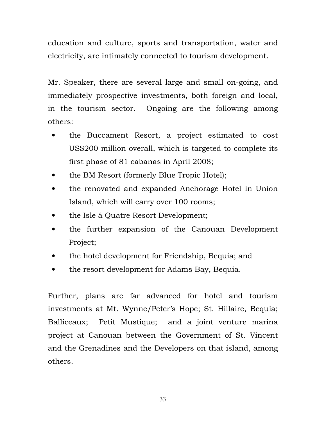education and culture, sports and transportation, water and electricity, are intimately connected to tourism development.

Mr. Speaker, there are several large and small on-going, and immediately prospective investments, both foreign and local, in the tourism sector. Ongoing are the following among others:

- the Buccament Resort, a project estimated to cost US\$200 million overall, which is targeted to complete its first phase of 81 cabanas in April 2008;
- the BM Resort (formerly Blue Tropic Hotel);
- the renovated and expanded Anchorage Hotel in Union Island, which will carry over 100 rooms;
- the Isle á Quatre Resort Development;
- the further expansion of the Canouan Development Project;
- the hotel development for Friendship, Bequia; and
- the resort development for Adams Bay, Bequia.

Further, plans are far advanced for hotel and tourism investments at Mt. Wynne/Peter's Hope; St. Hillaire, Bequia; Balliceaux; Petit Mustique; and a joint venture marina project at Canouan between the Government of St. Vincent and the Grenadines and the Developers on that island, among others.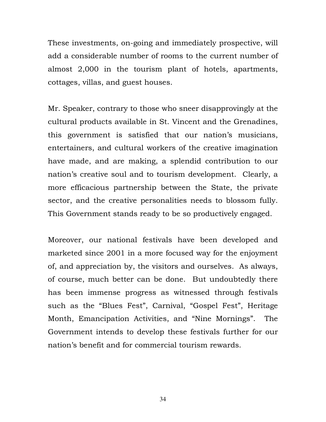These investments, on-going and immediately prospective, will add a considerable number of rooms to the current number of almost 2,000 in the tourism plant of hotels, apartments, cottages, villas, and guest houses.

Mr. Speaker, contrary to those who sneer disapprovingly at the cultural products available in St. Vincent and the Grenadines, this government is satisfied that our nation's musicians, entertainers, and cultural workers of the creative imagination have made, and are making, a splendid contribution to our nation's creative soul and to tourism development. Clearly, a more efficacious partnership between the State, the private sector, and the creative personalities needs to blossom fully. This Government stands ready to be so productively engaged.

Moreover, our national festivals have been developed and marketed since 2001 in a more focused way for the enjoyment of, and appreciation by, the visitors and ourselves. As always, of course, much better can be done. But undoubtedly there has been immense progress as witnessed through festivals such as the "Blues Fest", Carnival, "Gospel Fest", Heritage Month, Emancipation Activities, and "Nine Mornings". The Government intends to develop these festivals further for our nation's benefit and for commercial tourism rewards.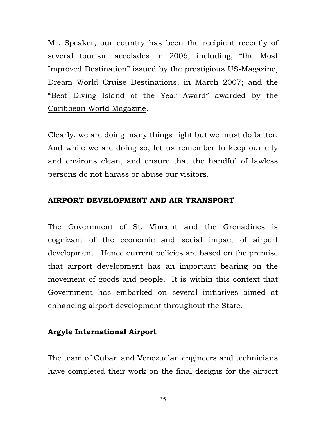Mr. Speaker, our country has been the recipient recently of several tourism accolades in 2006, including, "the Most Improved Destination" issued by the prestigious US-Magazine, Dream World Cruise Destinations, in March 2007; and the "Best Diving Island of the Year Award" awarded by the Caribbean World Magazine.

Clearly, we are doing many things right but we must do better. And while we are doing so, let us remember to keep our city and environs clean, and ensure that the handful of lawless persons do not harass or abuse our visitors.

## AIRPORT DEVELOPMENT AND AIR TRANSPORT

The Government of St. Vincent and the Grenadines is cognizant of the economic and social impact of airport development. Hence current policies are based on the premise that airport development has an important bearing on the movement of goods and people. It is within this context that Government has embarked on several initiatives aimed at enhancing airport development throughout the State.

# Argyle International Airport

The team of Cuban and Venezuelan engineers and technicians have completed their work on the final designs for the airport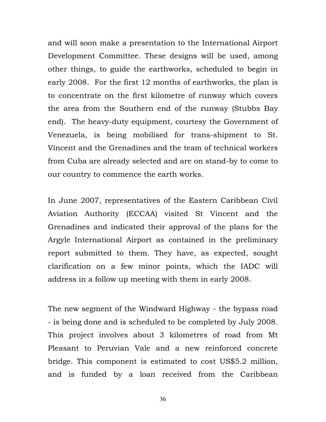and will soon make a presentation to the International Airport Development Committee. These designs will be used, among other things, to guide the earthworks, scheduled to begin in early 2008. For the first 12 months of earthworks, the plan is to concentrate on the first kilometre of runway which covers the area from the Southern end of the runway (Stubbs Bay end). The heavy-duty equipment, courtesy the Government of Venezuela, is being mobilised for trans-shipment to St. Vincent and the Grenadines and the team of technical workers from Cuba are already selected and are on stand-by to come to our country to commence the earth works.

In June 2007, representatives of the Eastern Caribbean Civil Aviation Authority (ECCAA) visited St Vincent and the Grenadines and indicated their approval of the plans for the Argyle International Airport as contained in the preliminary report submitted to them. They have, as expected, sought clarification on a few minor points, which the IADC will address in a follow up meeting with them in early 2008.

The new segment of the Windward Highway - the bypass road - is being done and is scheduled to be completed by July 2008. This project involves about 3 kilometres of road from Mt Pleasant to Peruvian Vale and a new reinforced concrete bridge. This component is estimated to cost US\$5.2 million, and is funded by a loan received from the Caribbean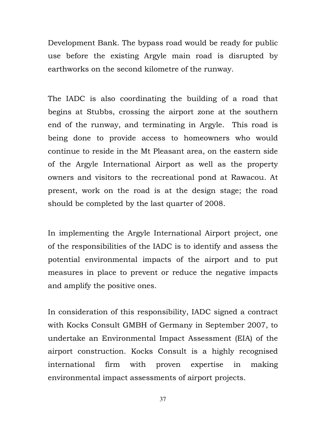Development Bank. The bypass road would be ready for public use before the existing Argyle main road is disrupted by earthworks on the second kilometre of the runway.

The IADC is also coordinating the building of a road that begins at Stubbs, crossing the airport zone at the southern end of the runway, and terminating in Argyle. This road is being done to provide access to homeowners who would continue to reside in the Mt Pleasant area, on the eastern side of the Argyle International Airport as well as the property owners and visitors to the recreational pond at Rawacou. At present, work on the road is at the design stage; the road should be completed by the last quarter of 2008.

In implementing the Argyle International Airport project, one of the responsibilities of the IADC is to identify and assess the potential environmental impacts of the airport and to put measures in place to prevent or reduce the negative impacts and amplify the positive ones.

In consideration of this responsibility, IADC signed a contract with Kocks Consult GMBH of Germany in September 2007, to undertake an Environmental Impact Assessment (EIA) of the airport construction. Kocks Consult is a highly recognised international firm with proven expertise in making environmental impact assessments of airport projects.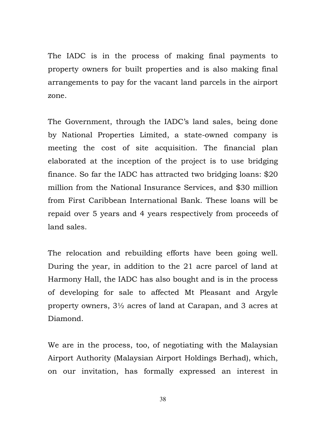The IADC is in the process of making final payments to property owners for built properties and is also making final arrangements to pay for the vacant land parcels in the airport zone.

The Government, through the IADC's land sales, being done by National Properties Limited, a state-owned company is meeting the cost of site acquisition. The financial plan elaborated at the inception of the project is to use bridging finance. So far the IADC has attracted two bridging loans: \$20 million from the National Insurance Services, and \$30 million from First Caribbean International Bank. These loans will be repaid over 5 years and 4 years respectively from proceeds of land sales.

The relocation and rebuilding efforts have been going well. During the year, in addition to the 21 acre parcel of land at Harmony Hall, the IADC has also bought and is in the process of developing for sale to affected Mt Pleasant and Argyle property owners, 3½ acres of land at Carapan, and 3 acres at Diamond.

We are in the process, too, of negotiating with the Malaysian Airport Authority (Malaysian Airport Holdings Berhad), which, on our invitation, has formally expressed an interest in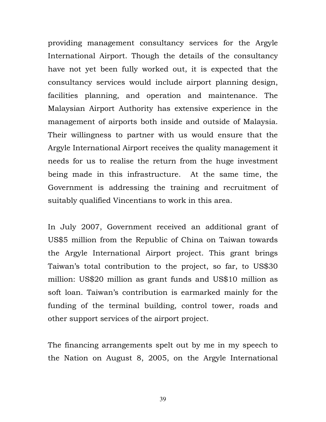providing management consultancy services for the Argyle International Airport. Though the details of the consultancy have not yet been fully worked out, it is expected that the consultancy services would include airport planning design, facilities planning, and operation and maintenance. The Malaysian Airport Authority has extensive experience in the management of airports both inside and outside of Malaysia. Their willingness to partner with us would ensure that the Argyle International Airport receives the quality management it needs for us to realise the return from the huge investment being made in this infrastructure. At the same time, the Government is addressing the training and recruitment of suitably qualified Vincentians to work in this area.

In July 2007, Government received an additional grant of US\$5 million from the Republic of China on Taiwan towards the Argyle International Airport project. This grant brings Taiwan's total contribution to the project, so far, to US\$30 million: US\$20 million as grant funds and US\$10 million as soft loan. Taiwan's contribution is earmarked mainly for the funding of the terminal building, control tower, roads and other support services of the airport project.

The financing arrangements spelt out by me in my speech to the Nation on August 8, 2005, on the Argyle International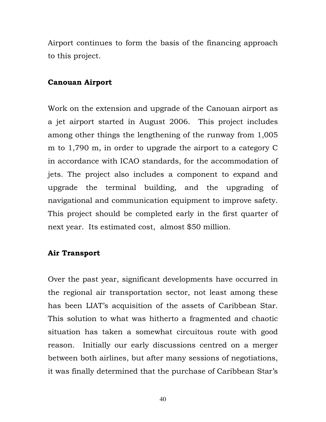Airport continues to form the basis of the financing approach to this project.

### Canouan Airport

Work on the extension and upgrade of the Canouan airport as a jet airport started in August 2006. This project includes among other things the lengthening of the runway from 1,005 m to 1,790 m, in order to upgrade the airport to a category C in accordance with ICAO standards, for the accommodation of jets. The project also includes a component to expand and upgrade the terminal building, and the upgrading of navigational and communication equipment to improve safety. This project should be completed early in the first quarter of next year. Its estimated cost, almost \$50 million.

# Air Transport

Over the past year, significant developments have occurred in the regional air transportation sector, not least among these has been LIAT's acquisition of the assets of Caribbean Star. This solution to what was hitherto a fragmented and chaotic situation has taken a somewhat circuitous route with good reason. Initially our early discussions centred on a merger between both airlines, but after many sessions of negotiations, it was finally determined that the purchase of Caribbean Star's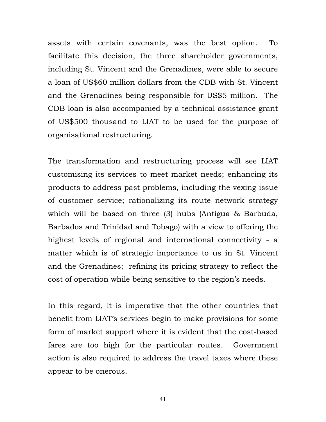assets with certain covenants, was the best option. To facilitate this decision, the three shareholder governments, including St. Vincent and the Grenadines, were able to secure a loan of US\$60 million dollars from the CDB with St. Vincent and the Grenadines being responsible for US\$5 million. The CDB loan is also accompanied by a technical assistance grant of US\$500 thousand to LIAT to be used for the purpose of organisational restructuring.

The transformation and restructuring process will see LIAT customising its services to meet market needs; enhancing its products to address past problems, including the vexing issue of customer service; rationalizing its route network strategy which will be based on three (3) hubs (Antigua & Barbuda, Barbados and Trinidad and Tobago) with a view to offering the highest levels of regional and international connectivity - a matter which is of strategic importance to us in St. Vincent and the Grenadines; refining its pricing strategy to reflect the cost of operation while being sensitive to the region's needs.

In this regard, it is imperative that the other countries that benefit from LIAT's services begin to make provisions for some form of market support where it is evident that the cost-based fares are too high for the particular routes. Government action is also required to address the travel taxes where these appear to be onerous.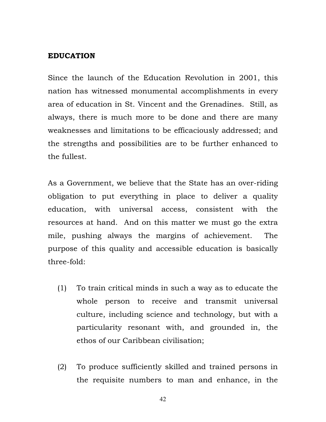#### EDUCATION

Since the launch of the Education Revolution in 2001, this nation has witnessed monumental accomplishments in every area of education in St. Vincent and the Grenadines. Still, as always, there is much more to be done and there are many weaknesses and limitations to be efficaciously addressed; and the strengths and possibilities are to be further enhanced to the fullest.

As a Government, we believe that the State has an over-riding obligation to put everything in place to deliver a quality education, with universal access, consistent with the resources at hand. And on this matter we must go the extra mile, pushing always the margins of achievement. The purpose of this quality and accessible education is basically three-fold:

- (1) To train critical minds in such a way as to educate the whole person to receive and transmit universal culture, including science and technology, but with a particularity resonant with, and grounded in, the ethos of our Caribbean civilisation;
- (2) To produce sufficiently skilled and trained persons in the requisite numbers to man and enhance, in the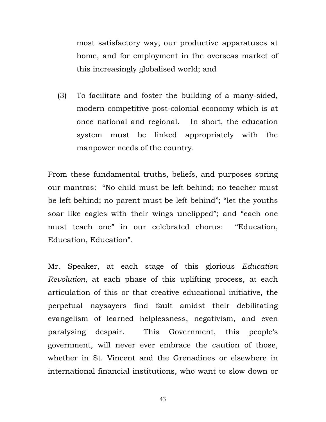most satisfactory way, our productive apparatuses at home, and for employment in the overseas market of this increasingly globalised world; and

(3) To facilitate and foster the building of a many-sided, modern competitive post-colonial economy which is at once national and regional. In short, the education system must be linked appropriately with the manpower needs of the country.

From these fundamental truths, beliefs, and purposes spring our mantras: "No child must be left behind; no teacher must be left behind; no parent must be left behind"; "let the youths soar like eagles with their wings unclipped"; and "each one must teach one" in our celebrated chorus: "Education, Education, Education".

Mr. Speaker, at each stage of this glorious Education Revolution, at each phase of this uplifting process, at each articulation of this or that creative educational initiative, the perpetual naysayers find fault amidst their debilitating evangelism of learned helplessness, negativism, and even paralysing despair. This Government, this people's government, will never ever embrace the caution of those, whether in St. Vincent and the Grenadines or elsewhere in international financial institutions, who want to slow down or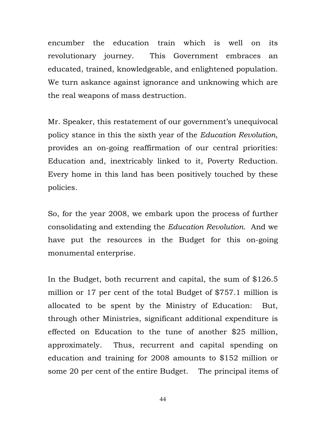encumber the education train which is well on its revolutionary journey. This Government embraces an educated, trained, knowledgeable, and enlightened population. We turn askance against ignorance and unknowing which are the real weapons of mass destruction.

Mr. Speaker, this restatement of our government's unequivocal policy stance in this the sixth year of the Education Revolution, provides an on-going reaffirmation of our central priorities: Education and, inextricably linked to it, Poverty Reduction. Every home in this land has been positively touched by these policies.

So, for the year 2008, we embark upon the process of further consolidating and extending the Education Revolution. And we have put the resources in the Budget for this on-going monumental enterprise.

In the Budget, both recurrent and capital, the sum of \$126.5 million or 17 per cent of the total Budget of \$757.1 million is allocated to be spent by the Ministry of Education: But, through other Ministries, significant additional expenditure is effected on Education to the tune of another \$25 million, approximately. Thus, recurrent and capital spending on education and training for 2008 amounts to \$152 million or some 20 per cent of the entire Budget. The principal items of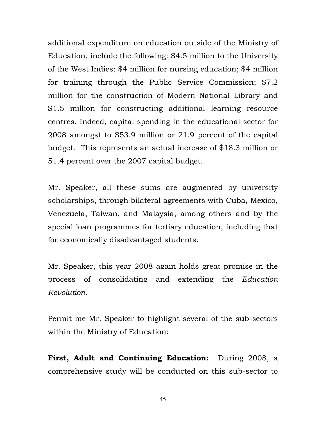additional expenditure on education outside of the Ministry of Education, include the following: \$4.5 million to the University of the West Indies; \$4 million for nursing education; \$4 million for training through the Public Service Commission; \$7.2 million for the construction of Modern National Library and \$1.5 million for constructing additional learning resource centres. Indeed, capital spending in the educational sector for 2008 amongst to \$53.9 million or 21.9 percent of the capital budget. This represents an actual increase of \$18.3 million or 51.4 percent over the 2007 capital budget.

Mr. Speaker, all these sums are augmented by university scholarships, through bilateral agreements with Cuba, Mexico, Venezuela, Taiwan, and Malaysia, among others and by the special loan programmes for tertiary education, including that for economically disadvantaged students.

Mr. Speaker, this year 2008 again holds great promise in the process of consolidating and extending the Education Revolution.

Permit me Mr. Speaker to highlight several of the sub-sectors within the Ministry of Education:

First, Adult and Continuing Education: During 2008, a comprehensive study will be conducted on this sub-sector to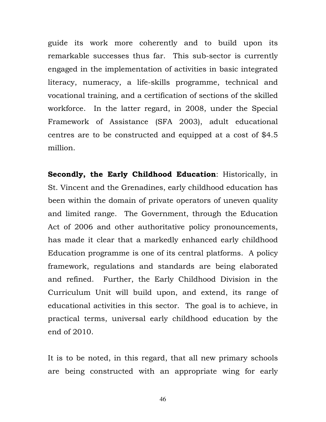guide its work more coherently and to build upon its remarkable successes thus far. This sub-sector is currently engaged in the implementation of activities in basic integrated literacy, numeracy, a life-skills programme, technical and vocational training, and a certification of sections of the skilled workforce. In the latter regard, in 2008, under the Special Framework of Assistance (SFA 2003), adult educational centres are to be constructed and equipped at a cost of \$4.5 million.

Secondly, the Early Childhood Education: Historically, in St. Vincent and the Grenadines, early childhood education has been within the domain of private operators of uneven quality and limited range. The Government, through the Education Act of 2006 and other authoritative policy pronouncements, has made it clear that a markedly enhanced early childhood Education programme is one of its central platforms. A policy framework, regulations and standards are being elaborated and refined. Further, the Early Childhood Division in the Curriculum Unit will build upon, and extend, its range of educational activities in this sector. The goal is to achieve, in practical terms, universal early childhood education by the end of 2010.

It is to be noted, in this regard, that all new primary schools are being constructed with an appropriate wing for early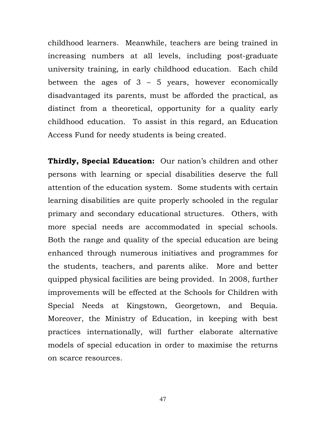childhood learners. Meanwhile, teachers are being trained in increasing numbers at all levels, including post-graduate university training, in early childhood education. Each child between the ages of  $3 - 5$  years, however economically disadvantaged its parents, must be afforded the practical, as distinct from a theoretical, opportunity for a quality early childhood education. To assist in this regard, an Education Access Fund for needy students is being created.

Thirdly, Special Education: Our nation's children and other persons with learning or special disabilities deserve the full attention of the education system. Some students with certain learning disabilities are quite properly schooled in the regular primary and secondary educational structures. Others, with more special needs are accommodated in special schools. Both the range and quality of the special education are being enhanced through numerous initiatives and programmes for the students, teachers, and parents alike. More and better quipped physical facilities are being provided. In 2008, further improvements will be effected at the Schools for Children with Special Needs at Kingstown, Georgetown, and Bequia. Moreover, the Ministry of Education, in keeping with best practices internationally, will further elaborate alternative models of special education in order to maximise the returns on scarce resources.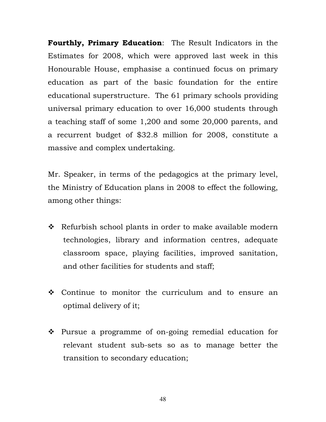**Fourthly, Primary Education:** The Result Indicators in the Estimates for 2008, which were approved last week in this Honourable House, emphasise a continued focus on primary education as part of the basic foundation for the entire educational superstructure. The 61 primary schools providing universal primary education to over 16,000 students through a teaching staff of some 1,200 and some 20,000 parents, and a recurrent budget of \$32.8 million for 2008, constitute a massive and complex undertaking.

Mr. Speaker, in terms of the pedagogics at the primary level, the Ministry of Education plans in 2008 to effect the following, among other things:

- \* Refurbish school plants in order to make available modern technologies, library and information centres, adequate classroom space, playing facilities, improved sanitation, and other facilities for students and staff;
- Continue to monitor the curriculum and to ensure an optimal delivery of it;
- Pursue a programme of on-going remedial education for relevant student sub-sets so as to manage better the transition to secondary education;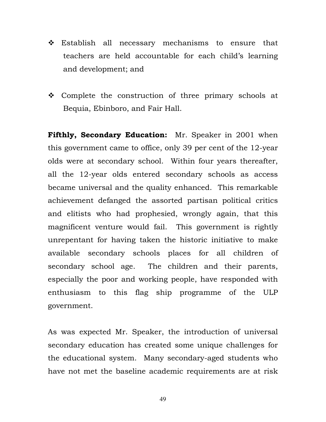- Establish all necessary mechanisms to ensure that teachers are held accountable for each child's learning and development; and
- Complete the construction of three primary schools at Bequia, Ebinboro, and Fair Hall.

Fifthly, Secondary Education: Mr. Speaker in 2001 when this government came to office, only 39 per cent of the 12-year olds were at secondary school. Within four years thereafter, all the 12-year olds entered secondary schools as access became universal and the quality enhanced. This remarkable achievement defanged the assorted partisan political critics and elitists who had prophesied, wrongly again, that this magnificent venture would fail. This government is rightly unrepentant for having taken the historic initiative to make available secondary schools places for all children of secondary school age. The children and their parents, especially the poor and working people, have responded with enthusiasm to this flag ship programme of the ULP government.

As was expected Mr. Speaker, the introduction of universal secondary education has created some unique challenges for the educational system. Many secondary-aged students who have not met the baseline academic requirements are at risk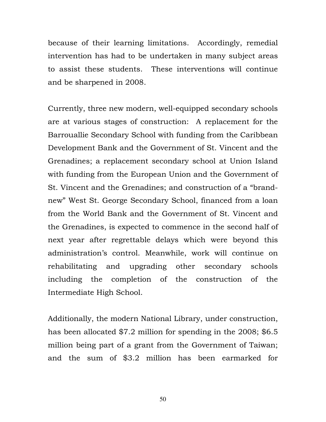because of their learning limitations. Accordingly, remedial intervention has had to be undertaken in many subject areas to assist these students. These interventions will continue and be sharpened in 2008.

Currently, three new modern, well-equipped secondary schools are at various stages of construction: A replacement for the Barrouallie Secondary School with funding from the Caribbean Development Bank and the Government of St. Vincent and the Grenadines; a replacement secondary school at Union Island with funding from the European Union and the Government of St. Vincent and the Grenadines; and construction of a "brandnew" West St. George Secondary School, financed from a loan from the World Bank and the Government of St. Vincent and the Grenadines, is expected to commence in the second half of next year after regrettable delays which were beyond this administration's control. Meanwhile, work will continue on rehabilitating and upgrading other secondary schools including the completion of the construction of the Intermediate High School.

Additionally, the modern National Library, under construction, has been allocated \$7.2 million for spending in the 2008; \$6.5 million being part of a grant from the Government of Taiwan; and the sum of \$3.2 million has been earmarked for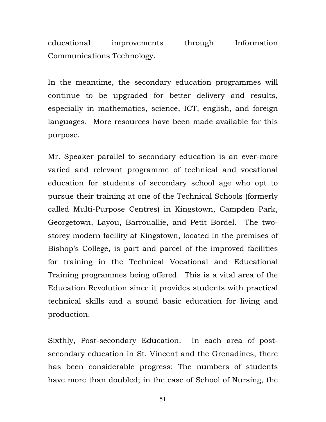educational improvements through Information Communications Technology.

In the meantime, the secondary education programmes will continue to be upgraded for better delivery and results, especially in mathematics, science, ICT, english, and foreign languages. More resources have been made available for this purpose.

Mr. Speaker parallel to secondary education is an ever-more varied and relevant programme of technical and vocational education for students of secondary school age who opt to pursue their training at one of the Technical Schools (formerly called Multi-Purpose Centres) in Kingstown, Campden Park, Georgetown, Layou, Barrouallie, and Petit Bordel. The twostorey modern facility at Kingstown, located in the premises of Bishop's College, is part and parcel of the improved facilities for training in the Technical Vocational and Educational Training programmes being offered. This is a vital area of the Education Revolution since it provides students with practical technical skills and a sound basic education for living and production.

Sixthly, Post-secondary Education. In each area of postsecondary education in St. Vincent and the Grenadines, there has been considerable progress: The numbers of students have more than doubled; in the case of School of Nursing, the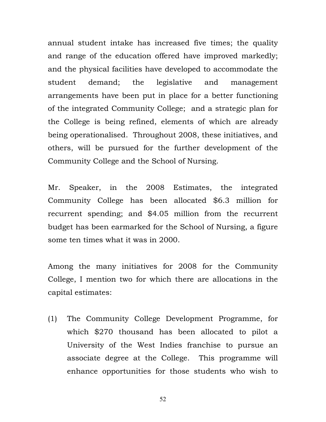annual student intake has increased five times; the quality and range of the education offered have improved markedly; and the physical facilities have developed to accommodate the student demand; the legislative and management arrangements have been put in place for a better functioning of the integrated Community College; and a strategic plan for the College is being refined, elements of which are already being operationalised. Throughout 2008, these initiatives, and others, will be pursued for the further development of the Community College and the School of Nursing.

Mr. Speaker, in the 2008 Estimates, the integrated Community College has been allocated \$6.3 million for recurrent spending; and \$4.05 million from the recurrent budget has been earmarked for the School of Nursing, a figure some ten times what it was in 2000.

Among the many initiatives for 2008 for the Community College, I mention two for which there are allocations in the capital estimates:

(1) The Community College Development Programme, for which \$270 thousand has been allocated to pilot a University of the West Indies franchise to pursue an associate degree at the College. This programme will enhance opportunities for those students who wish to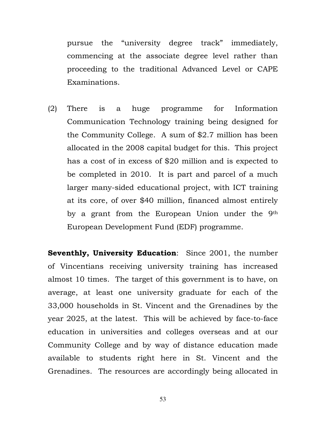pursue the "university degree track" immediately, commencing at the associate degree level rather than proceeding to the traditional Advanced Level or CAPE Examinations.

(2) There is a huge programme for Information Communication Technology training being designed for the Community College. A sum of \$2.7 million has been allocated in the 2008 capital budget for this. This project has a cost of in excess of \$20 million and is expected to be completed in 2010. It is part and parcel of a much larger many-sided educational project, with ICT training at its core, of over \$40 million, financed almost entirely by a grant from the European Union under the 9<sup>th</sup> European Development Fund (EDF) programme.

Seventhly, University Education: Since 2001, the number of Vincentians receiving university training has increased almost 10 times. The target of this government is to have, on average, at least one university graduate for each of the 33,000 households in St. Vincent and the Grenadines by the year 2025, at the latest. This will be achieved by face-to-face education in universities and colleges overseas and at our Community College and by way of distance education made available to students right here in St. Vincent and the Grenadines. The resources are accordingly being allocated in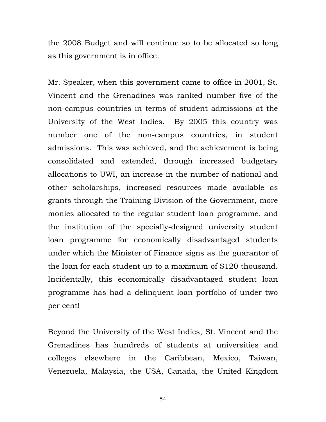the 2008 Budget and will continue so to be allocated so long as this government is in office.

Mr. Speaker, when this government came to office in 2001, St. Vincent and the Grenadines was ranked number five of the non-campus countries in terms of student admissions at the University of the West Indies. By 2005 this country was number one of the non-campus countries, in student admissions. This was achieved, and the achievement is being consolidated and extended, through increased budgetary allocations to UWI, an increase in the number of national and other scholarships, increased resources made available as grants through the Training Division of the Government, more monies allocated to the regular student loan programme, and the institution of the specially-designed university student loan programme for economically disadvantaged students under which the Minister of Finance signs as the guarantor of the loan for each student up to a maximum of \$120 thousand. Incidentally, this economically disadvantaged student loan programme has had a delinquent loan portfolio of under two per cent!

Beyond the University of the West Indies, St. Vincent and the Grenadines has hundreds of students at universities and colleges elsewhere in the Caribbean, Mexico, Taiwan, Venezuela, Malaysia, the USA, Canada, the United Kingdom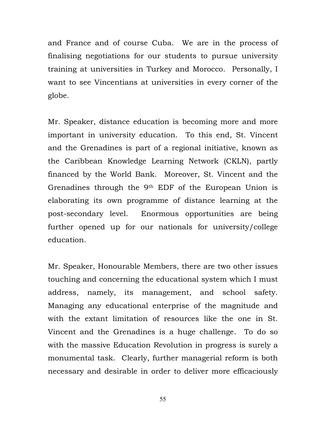and France and of course Cuba. We are in the process of finalising negotiations for our students to pursue university training at universities in Turkey and Morocco. Personally, I want to see Vincentians at universities in every corner of the globe.

Mr. Speaker, distance education is becoming more and more important in university education. To this end, St. Vincent and the Grenadines is part of a regional initiative, known as the Caribbean Knowledge Learning Network (CKLN), partly financed by the World Bank. Moreover, St. Vincent and the Grenadines through the 9th EDF of the European Union is elaborating its own programme of distance learning at the post-secondary level. Enormous opportunities are being further opened up for our nationals for university/college education.

Mr. Speaker, Honourable Members, there are two other issues touching and concerning the educational system which I must address, namely, its management, and school safety. Managing any educational enterprise of the magnitude and with the extant limitation of resources like the one in St. Vincent and the Grenadines is a huge challenge. To do so with the massive Education Revolution in progress is surely a monumental task. Clearly, further managerial reform is both necessary and desirable in order to deliver more efficaciously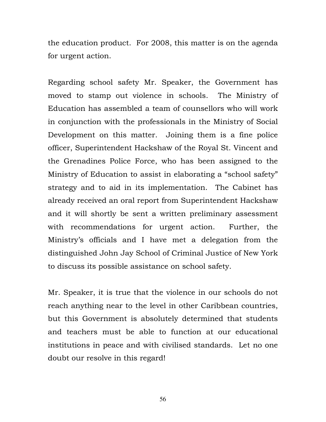the education product. For 2008, this matter is on the agenda for urgent action.

Regarding school safety Mr. Speaker, the Government has moved to stamp out violence in schools. The Ministry of Education has assembled a team of counsellors who will work in conjunction with the professionals in the Ministry of Social Development on this matter. Joining them is a fine police officer, Superintendent Hackshaw of the Royal St. Vincent and the Grenadines Police Force, who has been assigned to the Ministry of Education to assist in elaborating a "school safety" strategy and to aid in its implementation. The Cabinet has already received an oral report from Superintendent Hackshaw and it will shortly be sent a written preliminary assessment with recommendations for urgent action. Further, the Ministry's officials and I have met a delegation from the distinguished John Jay School of Criminal Justice of New York to discuss its possible assistance on school safety.

Mr. Speaker, it is true that the violence in our schools do not reach anything near to the level in other Caribbean countries, but this Government is absolutely determined that students and teachers must be able to function at our educational institutions in peace and with civilised standards. Let no one doubt our resolve in this regard!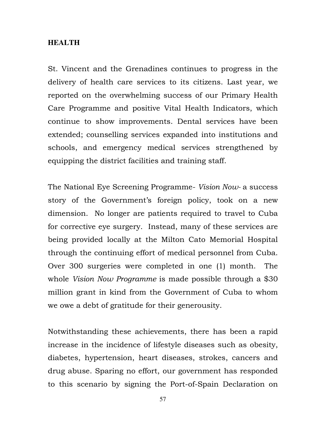#### **HEALTH**

St. Vincent and the Grenadines continues to progress in the delivery of health care services to its citizens. Last year, we reported on the overwhelming success of our Primary Health Care Programme and positive Vital Health Indicators, which continue to show improvements. Dental services have been extended; counselling services expanded into institutions and schools, and emergency medical services strengthened by equipping the district facilities and training staff.

The National Eye Screening Programme- Vision Now- a success story of the Government's foreign policy, took on a new dimension. No longer are patients required to travel to Cuba for corrective eye surgery. Instead, many of these services are being provided locally at the Milton Cato Memorial Hospital through the continuing effort of medical personnel from Cuba. Over 300 surgeries were completed in one (1) month. The whole *Vision Now Programme* is made possible through a \$30 million grant in kind from the Government of Cuba to whom we owe a debt of gratitude for their generousity.

Notwithstanding these achievements, there has been a rapid increase in the incidence of lifestyle diseases such as obesity, diabetes, hypertension, heart diseases, strokes, cancers and drug abuse. Sparing no effort, our government has responded to this scenario by signing the Port-of-Spain Declaration on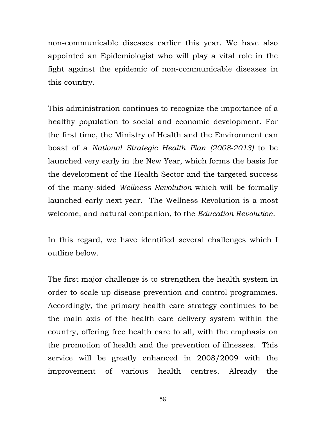non-communicable diseases earlier this year. We have also appointed an Epidemiologist who will play a vital role in the fight against the epidemic of non-communicable diseases in this country.

This administration continues to recognize the importance of a healthy population to social and economic development. For the first time, the Ministry of Health and the Environment can boast of a National Strategic Health Plan (2008-2013) to be launched very early in the New Year, which forms the basis for the development of the Health Sector and the targeted success of the many-sided Wellness Revolution which will be formally launched early next year. The Wellness Revolution is a most welcome, and natural companion, to the Education Revolution.

In this regard, we have identified several challenges which I outline below.

The first major challenge is to strengthen the health system in order to scale up disease prevention and control programmes. Accordingly, the primary health care strategy continues to be the main axis of the health care delivery system within the country, offering free health care to all, with the emphasis on the promotion of health and the prevention of illnesses. This service will be greatly enhanced in 2008/2009 with the improvement of various health centres. Already the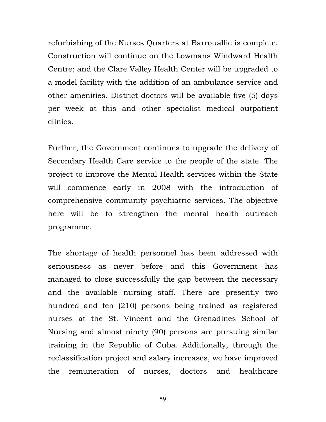refurbishing of the Nurses Quarters at Barrouallie is complete. Construction will continue on the Lowmans Windward Health Centre; and the Clare Valley Health Center will be upgraded to a model facility with the addition of an ambulance service and other amenities. District doctors will be available five (5) days per week at this and other specialist medical outpatient clinics.

Further, the Government continues to upgrade the delivery of Secondary Health Care service to the people of the state. The project to improve the Mental Health services within the State will commence early in 2008 with the introduction of comprehensive community psychiatric services. The objective here will be to strengthen the mental health outreach programme.

The shortage of health personnel has been addressed with seriousness as never before and this Government has managed to close successfully the gap between the necessary and the available nursing staff. There are presently two hundred and ten (210) persons being trained as registered nurses at the St. Vincent and the Grenadines School of Nursing and almost ninety (90) persons are pursuing similar training in the Republic of Cuba. Additionally, through the reclassification project and salary increases, we have improved the remuneration of nurses, doctors and healthcare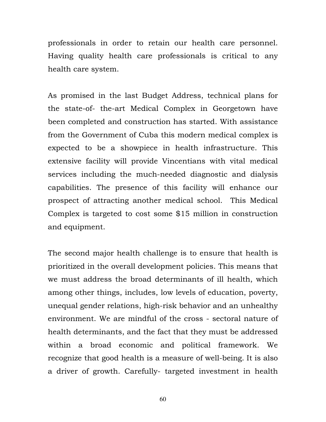professionals in order to retain our health care personnel. Having quality health care professionals is critical to any health care system.

As promised in the last Budget Address, technical plans for the state-of- the-art Medical Complex in Georgetown have been completed and construction has started. With assistance from the Government of Cuba this modern medical complex is expected to be a showpiece in health infrastructure. This extensive facility will provide Vincentians with vital medical services including the much-needed diagnostic and dialysis capabilities. The presence of this facility will enhance our prospect of attracting another medical school. This Medical Complex is targeted to cost some \$15 million in construction and equipment.

The second major health challenge is to ensure that health is prioritized in the overall development policies. This means that we must address the broad determinants of ill health, which among other things, includes, low levels of education, poverty, unequal gender relations, high-risk behavior and an unhealthy environment. We are mindful of the cross - sectoral nature of health determinants, and the fact that they must be addressed within a broad economic and political framework. We recognize that good health is a measure of well-being. It is also a driver of growth. Carefully- targeted investment in health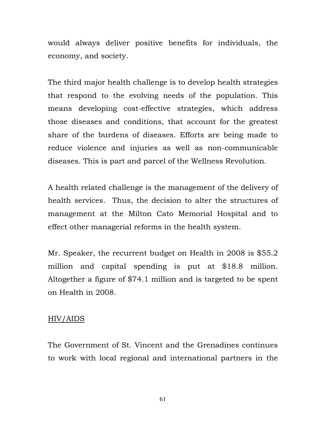would always deliver positive benefits for individuals, the economy, and society.

The third major health challenge is to develop health strategies that respond to the evolving needs of the population. This means developing cost-effective strategies, which address those diseases and conditions, that account for the greatest share of the burdens of diseases. Efforts are being made to reduce violence and injuries as well as non-communicable diseases. This is part and parcel of the Wellness Revolution.

A health related challenge is the management of the delivery of health services. Thus, the decision to alter the structures of management at the Milton Cato Memorial Hospital and to effect other managerial reforms in the health system.

Mr. Speaker, the recurrent budget on Health in 2008 is \$55.2 million and capital spending is put at \$18.8 million. Altogether a figure of \$74.1 million and is targeted to be spent on Health in 2008.

### HIV/AIDS

The Government of St. Vincent and the Grenadines continues to work with local regional and international partners in the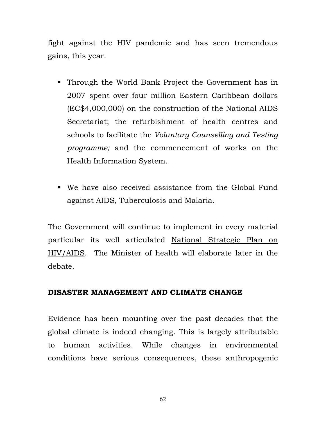fight against the HIV pandemic and has seen tremendous gains, this year.

- Through the World Bank Project the Government has in 2007 spent over four million Eastern Caribbean dollars (EC\$4,000,000) on the construction of the National AIDS Secretariat; the refurbishment of health centres and schools to facilitate the Voluntary Counselling and Testing programme; and the commencement of works on the Health Information System.
- We have also received assistance from the Global Fund against AIDS, Tuberculosis and Malaria.

The Government will continue to implement in every material particular its well articulated National Strategic Plan on HIV/AIDS. The Minister of health will elaborate later in the debate.

# DISASTER MANAGEMENT AND CLIMATE CHANGE

Evidence has been mounting over the past decades that the global climate is indeed changing. This is largely attributable to human activities. While changes in environmental conditions have serious consequences, these anthropogenic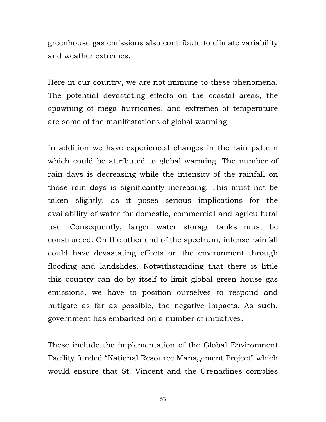greenhouse gas emissions also contribute to climate variability and weather extremes.

Here in our country, we are not immune to these phenomena. The potential devastating effects on the coastal areas, the spawning of mega hurricanes, and extremes of temperature are some of the manifestations of global warming.

In addition we have experienced changes in the rain pattern which could be attributed to global warming. The number of rain days is decreasing while the intensity of the rainfall on those rain days is significantly increasing. This must not be taken slightly, as it poses serious implications for the availability of water for domestic, commercial and agricultural use. Consequently, larger water storage tanks must be constructed. On the other end of the spectrum, intense rainfall could have devastating effects on the environment through flooding and landslides. Notwithstanding that there is little this country can do by itself to limit global green house gas emissions, we have to position ourselves to respond and mitigate as far as possible, the negative impacts. As such, government has embarked on a number of initiatives.

These include the implementation of the Global Environment Facility funded "National Resource Management Project" which would ensure that St. Vincent and the Grenadines complies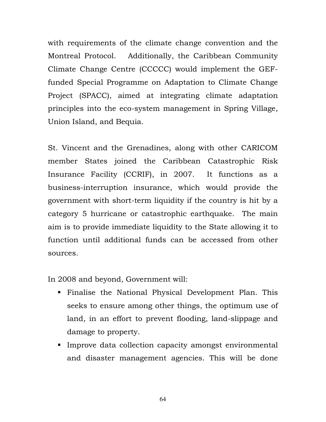with requirements of the climate change convention and the Montreal Protocol. Additionally, the Caribbean Community Climate Change Centre (CCCCC) would implement the GEFfunded Special Programme on Adaptation to Climate Change Project (SPACC), aimed at integrating climate adaptation principles into the eco-system management in Spring Village, Union Island, and Bequia.

St. Vincent and the Grenadines, along with other CARICOM member States joined the Caribbean Catastrophic Risk Insurance Facility (CCRIF), in 2007. It functions as a business-interruption insurance, which would provide the government with short-term liquidity if the country is hit by a category 5 hurricane or catastrophic earthquake. The main aim is to provide immediate liquidity to the State allowing it to function until additional funds can be accessed from other sources.

In 2008 and beyond, Government will:

- Finalise the National Physical Development Plan. This seeks to ensure among other things, the optimum use of land, in an effort to prevent flooding, land-slippage and damage to property.
- **Improve data collection capacity amongst environmental** and disaster management agencies. This will be done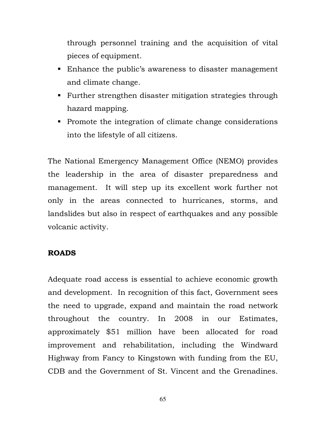through personnel training and the acquisition of vital pieces of equipment.

- Enhance the public's awareness to disaster management and climate change.
- **Further strengthen disaster mitigation strategies through** hazard mapping.
- Promote the integration of climate change considerations into the lifestyle of all citizens.

The National Emergency Management Office (NEMO) provides the leadership in the area of disaster preparedness and management. It will step up its excellent work further not only in the areas connected to hurricanes, storms, and landslides but also in respect of earthquakes and any possible volcanic activity.

# ROADS

Adequate road access is essential to achieve economic growth and development. In recognition of this fact, Government sees the need to upgrade, expand and maintain the road network throughout the country. In 2008 in our Estimates, approximately \$51 million have been allocated for road improvement and rehabilitation, including the Windward Highway from Fancy to Kingstown with funding from the EU, CDB and the Government of St. Vincent and the Grenadines.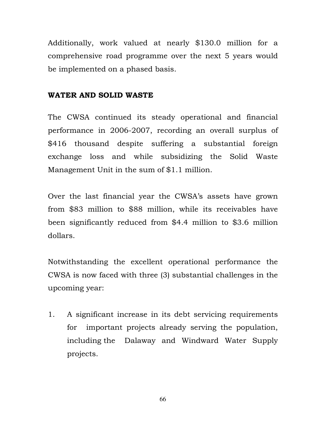Additionally, work valued at nearly \$130.0 million for a comprehensive road programme over the next 5 years would be implemented on a phased basis.

### WATER AND SOLID WASTE

The CWSA continued its steady operational and financial performance in 2006-2007, recording an overall surplus of \$416 thousand despite suffering a substantial foreign exchange loss and while subsidizing the Solid Waste Management Unit in the sum of \$1.1 million.

Over the last financial year the CWSA's assets have grown from \$83 million to \$88 million, while its receivables have been significantly reduced from \$4.4 million to \$3.6 million dollars.

Notwithstanding the excellent operational performance the CWSA is now faced with three (3) substantial challenges in the upcoming year:

1. A significant increase in its debt servicing requirements for important projects already serving the population, including the Dalaway and Windward Water Supply projects.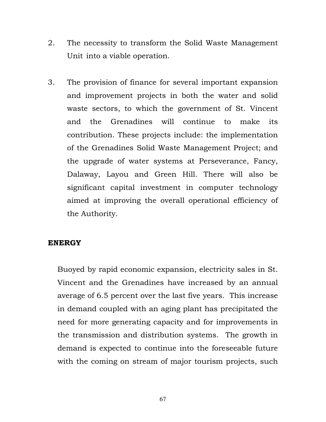- 2. The necessity to transform the Solid Waste Management Unit into a viable operation.
- 3. The provision of finance for several important expansion and improvement projects in both the water and solid waste sectors, to which the government of St. Vincent and the Grenadines will continue to make its contribution. These projects include: the implementation of the Grenadines Solid Waste Management Project; and the upgrade of water systems at Perseverance, Fancy, Dalaway, Layou and Green Hill. There will also be significant capital investment in computer technology aimed at improving the overall operational efficiency of the Authority.

### ENERGY

Buoyed by rapid economic expansion, electricity sales in St. Vincent and the Grenadines have increased by an annual average of 6.5 percent over the last five years. This increase in demand coupled with an aging plant has precipitated the need for more generating capacity and for improvements in the transmission and distribution systems. The growth in demand is expected to continue into the foreseeable future with the coming on stream of major tourism projects, such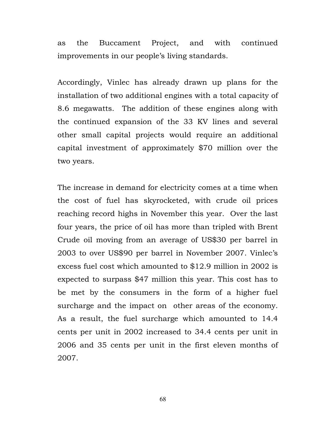as the Buccament Project, and with continued improvements in our people's living standards.

Accordingly, Vinlec has already drawn up plans for the installation of two additional engines with a total capacity of 8.6 megawatts. The addition of these engines along with the continued expansion of the 33 KV lines and several other small capital projects would require an additional capital investment of approximately \$70 million over the two years.

The increase in demand for electricity comes at a time when the cost of fuel has skyrocketed, with crude oil prices reaching record highs in November this year. Over the last four years, the price of oil has more than tripled with Brent Crude oil moving from an average of US\$30 per barrel in 2003 to over US\$90 per barrel in November 2007. Vinlec's excess fuel cost which amounted to \$12.9 million in 2002 is expected to surpass \$47 million this year. This cost has to be met by the consumers in the form of a higher fuel surcharge and the impact on other areas of the economy. As a result, the fuel surcharge which amounted to 14.4 cents per unit in 2002 increased to 34.4 cents per unit in 2006 and 35 cents per unit in the first eleven months of 2007.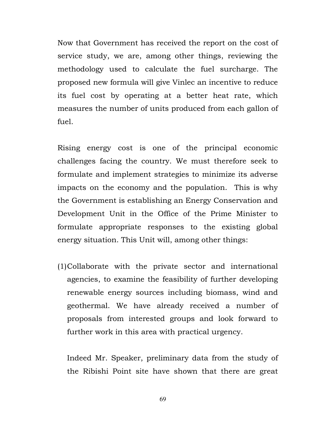Now that Government has received the report on the cost of service study, we are, among other things, reviewing the methodology used to calculate the fuel surcharge. The proposed new formula will give Vinlec an incentive to reduce its fuel cost by operating at a better heat rate, which measures the number of units produced from each gallon of fuel.

Rising energy cost is one of the principal economic challenges facing the country. We must therefore seek to formulate and implement strategies to minimize its adverse impacts on the economy and the population. This is why the Government is establishing an Energy Conservation and Development Unit in the Office of the Prime Minister to formulate appropriate responses to the existing global energy situation. This Unit will, among other things:

(1)Collaborate with the private sector and international agencies, to examine the feasibility of further developing renewable energy sources including biomass, wind and geothermal. We have already received a number of proposals from interested groups and look forward to further work in this area with practical urgency.

Indeed Mr. Speaker, preliminary data from the study of the Ribishi Point site have shown that there are great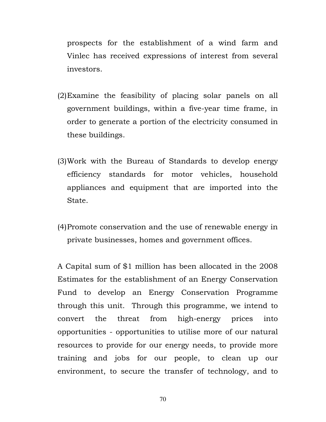prospects for the establishment of a wind farm and Vinlec has received expressions of interest from several investors.

- (2)Examine the feasibility of placing solar panels on all government buildings, within a five-year time frame, in order to generate a portion of the electricity consumed in these buildings.
- (3)Work with the Bureau of Standards to develop energy efficiency standards for motor vehicles, household appliances and equipment that are imported into the State.
- (4)Promote conservation and the use of renewable energy in private businesses, homes and government offices.

A Capital sum of \$1 million has been allocated in the 2008 Estimates for the establishment of an Energy Conservation Fund to develop an Energy Conservation Programme through this unit. Through this programme, we intend to convert the threat from high-energy prices into opportunities - opportunities to utilise more of our natural resources to provide for our energy needs, to provide more training and jobs for our people, to clean up our environment, to secure the transfer of technology, and to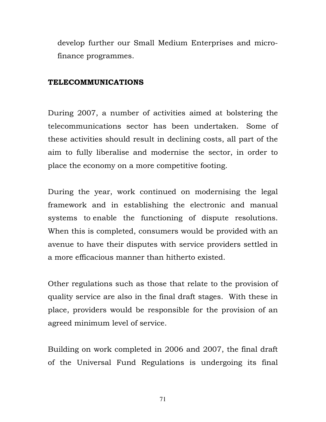develop further our Small Medium Enterprises and microfinance programmes.

#### TELECOMMUNICATIONS

During 2007, a number of activities aimed at bolstering the telecommunications sector has been undertaken. Some of these activities should result in declining costs, all part of the aim to fully liberalise and modernise the sector, in order to place the economy on a more competitive footing.

During the year, work continued on modernising the legal framework and in establishing the electronic and manual systems to enable the functioning of dispute resolutions. When this is completed, consumers would be provided with an avenue to have their disputes with service providers settled in a more efficacious manner than hitherto existed.

Other regulations such as those that relate to the provision of quality service are also in the final draft stages. With these in place, providers would be responsible for the provision of an agreed minimum level of service.

Building on work completed in 2006 and 2007, the final draft of the Universal Fund Regulations is undergoing its final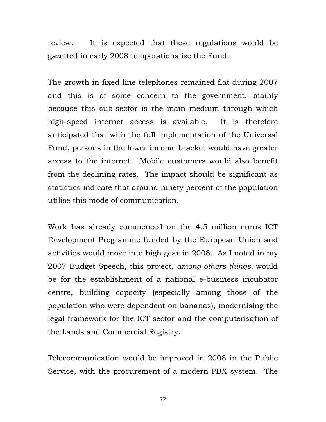review. It is expected that these regulations would be gazetted in early 2008 to operationalise the Fund.

The growth in fixed line telephones remained flat during 2007 and this is of some concern to the government, mainly because this sub-sector is the main medium through which high-speed internet access is available. It is therefore anticipated that with the full implementation of the Universal Fund, persons in the lower income bracket would have greater access to the internet. Mobile customers would also benefit from the declining rates. The impact should be significant as statistics indicate that around ninety percent of the population utilise this mode of communication.

Work has already commenced on the 4.5 million euros ICT Development Programme funded by the European Union and activities would move into high gear in 2008. As I noted in my 2007 Budget Speech, this project, among others things, would be for the establishment of a national e-business incubator centre, building capacity (especially among those of the population who were dependent on bananas), modernising the legal framework for the ICT sector and the computerisation of the Lands and Commercial Registry.

Telecommunication would be improved in 2008 in the Public Service, with the procurement of a modern PBX system. The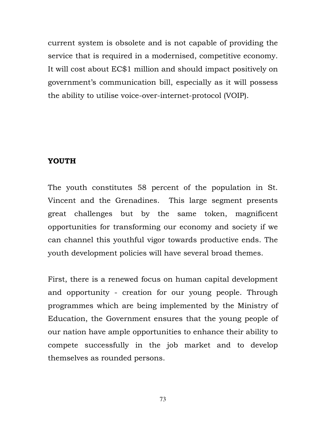current system is obsolete and is not capable of providing the service that is required in a modernised, competitive economy. It will cost about EC\$1 million and should impact positively on government's communication bill, especially as it will possess the ability to utilise voice-over-internet-protocol (VOIP).

#### YOUTH

The youth constitutes 58 percent of the population in St. Vincent and the Grenadines. This large segment presents great challenges but by the same token, magnificent opportunities for transforming our economy and society if we can channel this youthful vigor towards productive ends. The youth development policies will have several broad themes.

First, there is a renewed focus on human capital development and opportunity - creation for our young people. Through programmes which are being implemented by the Ministry of Education, the Government ensures that the young people of our nation have ample opportunities to enhance their ability to compete successfully in the job market and to develop themselves as rounded persons.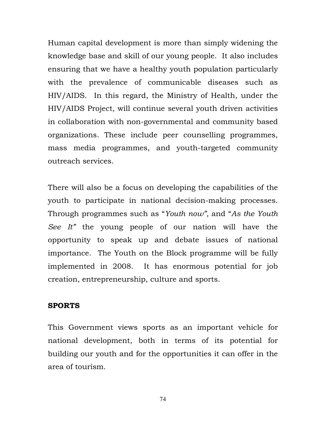Human capital development is more than simply widening the knowledge base and skill of our young people. It also includes ensuring that we have a healthy youth population particularly with the prevalence of communicable diseases such as HIV/AIDS. In this regard, the Ministry of Health, under the HIV/AIDS Project, will continue several youth driven activities in collaboration with non-governmental and community based organizations. These include peer counselling programmes, mass media programmes, and youth-targeted community outreach services.

There will also be a focus on developing the capabilities of the youth to participate in national decision-making processes. Through programmes such as "Youth now", and "As the Youth See It" the young people of our nation will have the opportunity to speak up and debate issues of national importance. The Youth on the Block programme will be fully implemented in 2008. It has enormous potential for job creation, entrepreneurship, culture and sports.

### SPORTS

This Government views sports as an important vehicle for national development, both in terms of its potential for building our youth and for the opportunities it can offer in the area of tourism.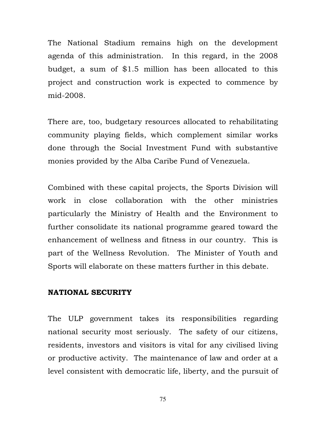The National Stadium remains high on the development agenda of this administration. In this regard, in the 2008 budget, a sum of \$1.5 million has been allocated to this project and construction work is expected to commence by mid-2008.

There are, too, budgetary resources allocated to rehabilitating community playing fields, which complement similar works done through the Social Investment Fund with substantive monies provided by the Alba Caribe Fund of Venezuela.

Combined with these capital projects, the Sports Division will work in close collaboration with the other ministries particularly the Ministry of Health and the Environment to further consolidate its national programme geared toward the enhancement of wellness and fitness in our country. This is part of the Wellness Revolution. The Minister of Youth and Sports will elaborate on these matters further in this debate.

### NATIONAL SECURITY

The ULP government takes its responsibilities regarding national security most seriously. The safety of our citizens, residents, investors and visitors is vital for any civilised living or productive activity. The maintenance of law and order at a level consistent with democratic life, liberty, and the pursuit of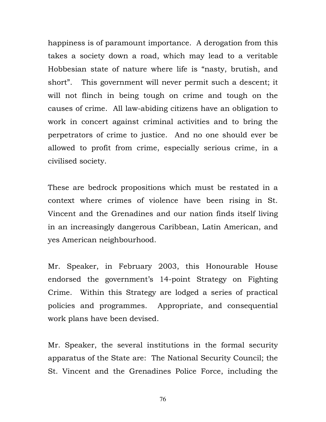happiness is of paramount importance. A derogation from this takes a society down a road, which may lead to a veritable Hobbesian state of nature where life is "nasty, brutish, and short". This government will never permit such a descent; it will not flinch in being tough on crime and tough on the causes of crime. All law-abiding citizens have an obligation to work in concert against criminal activities and to bring the perpetrators of crime to justice. And no one should ever be allowed to profit from crime, especially serious crime, in a civilised society.

These are bedrock propositions which must be restated in a context where crimes of violence have been rising in St. Vincent and the Grenadines and our nation finds itself living in an increasingly dangerous Caribbean, Latin American, and yes American neighbourhood.

Mr. Speaker, in February 2003, this Honourable House endorsed the government's 14-point Strategy on Fighting Crime. Within this Strategy are lodged a series of practical policies and programmes. Appropriate, and consequential work plans have been devised.

Mr. Speaker, the several institutions in the formal security apparatus of the State are: The National Security Council; the St. Vincent and the Grenadines Police Force, including the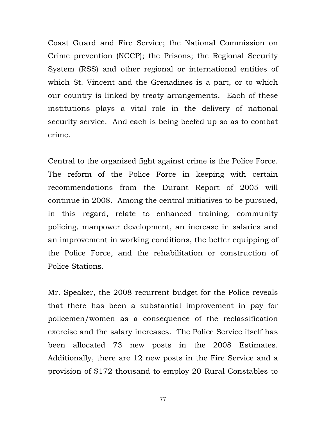Coast Guard and Fire Service; the National Commission on Crime prevention (NCCP); the Prisons; the Regional Security System (RSS) and other regional or international entities of which St. Vincent and the Grenadines is a part, or to which our country is linked by treaty arrangements. Each of these institutions plays a vital role in the delivery of national security service. And each is being beefed up so as to combat crime.

Central to the organised fight against crime is the Police Force. The reform of the Police Force in keeping with certain recommendations from the Durant Report of 2005 will continue in 2008. Among the central initiatives to be pursued, in this regard, relate to enhanced training, community policing, manpower development, an increase in salaries and an improvement in working conditions, the better equipping of the Police Force, and the rehabilitation or construction of Police Stations.

Mr. Speaker, the 2008 recurrent budget for the Police reveals that there has been a substantial improvement in pay for policemen/women as a consequence of the reclassification exercise and the salary increases. The Police Service itself has been allocated 73 new posts in the 2008 Estimates. Additionally, there are 12 new posts in the Fire Service and a provision of \$172 thousand to employ 20 Rural Constables to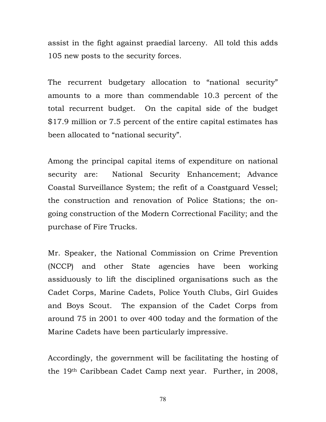assist in the fight against praedial larceny. All told this adds 105 new posts to the security forces.

The recurrent budgetary allocation to "national security" amounts to a more than commendable 10.3 percent of the total recurrent budget. On the capital side of the budget \$17.9 million or 7.5 percent of the entire capital estimates has been allocated to "national security".

Among the principal capital items of expenditure on national security are: National Security Enhancement; Advance Coastal Surveillance System; the refit of a Coastguard Vessel; the construction and renovation of Police Stations; the ongoing construction of the Modern Correctional Facility; and the purchase of Fire Trucks.

Mr. Speaker, the National Commission on Crime Prevention (NCCP) and other State agencies have been working assiduously to lift the disciplined organisations such as the Cadet Corps, Marine Cadets, Police Youth Clubs, Girl Guides and Boys Scout. The expansion of the Cadet Corps from around 75 in 2001 to over 400 today and the formation of the Marine Cadets have been particularly impressive.

Accordingly, the government will be facilitating the hosting of the 19th Caribbean Cadet Camp next year. Further, in 2008,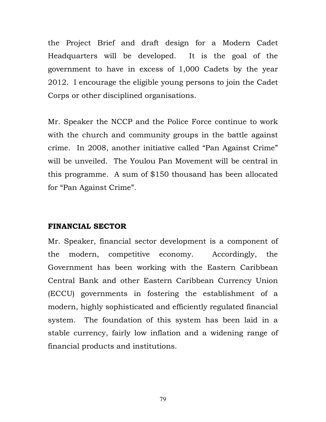the Project Brief and draft design for a Modern Cadet Headquarters will be developed. It is the goal of the government to have in excess of 1,000 Cadets by the year 2012. I encourage the eligible young persons to join the Cadet Corps or other disciplined organisations.

Mr. Speaker the NCCP and the Police Force continue to work with the church and community groups in the battle against crime. In 2008, another initiative called "Pan Against Crime" will be unveiled. The Youlou Pan Movement will be central in this programme. A sum of \$150 thousand has been allocated for "Pan Against Crime".

#### FINANCIAL SECTOR

Mr. Speaker, financial sector development is a component of the modern, competitive economy. Accordingly, the Government has been working with the Eastern Caribbean Central Bank and other Eastern Caribbean Currency Union (ECCU) governments in fostering the establishment of a modern, highly sophisticated and efficiently regulated financial system. The foundation of this system has been laid in a stable currency, fairly low inflation and a widening range of financial products and institutions.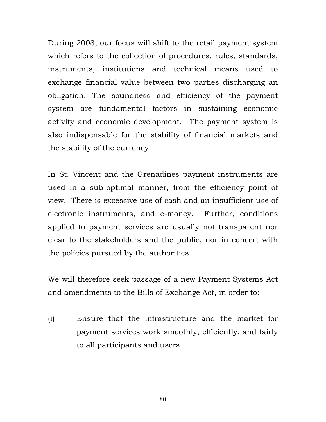During 2008, our focus will shift to the retail payment system which refers to the collection of procedures, rules, standards, instruments, institutions and technical means used to exchange financial value between two parties discharging an obligation. The soundness and efficiency of the payment system are fundamental factors in sustaining economic activity and economic development. The payment system is also indispensable for the stability of financial markets and the stability of the currency.

In St. Vincent and the Grenadines payment instruments are used in a sub-optimal manner, from the efficiency point of view. There is excessive use of cash and an insufficient use of electronic instruments, and e-money. Further, conditions applied to payment services are usually not transparent nor clear to the stakeholders and the public, nor in concert with the policies pursued by the authorities.

We will therefore seek passage of a new Payment Systems Act and amendments to the Bills of Exchange Act, in order to:

(i) Ensure that the infrastructure and the market for payment services work smoothly, efficiently, and fairly to all participants and users.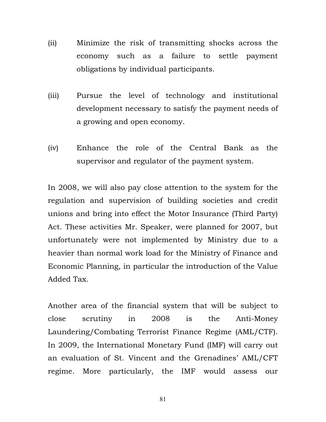- (ii) Minimize the risk of transmitting shocks across the economy such as a failure to settle payment obligations by individual participants.
- (iii) Pursue the level of technology and institutional development necessary to satisfy the payment needs of a growing and open economy.
- (iv) Enhance the role of the Central Bank as the supervisor and regulator of the payment system.

In 2008, we will also pay close attention to the system for the regulation and supervision of building societies and credit unions and bring into effect the Motor Insurance (Third Party) Act. These activities Mr. Speaker, were planned for 2007, but unfortunately were not implemented by Ministry due to a heavier than normal work load for the Ministry of Finance and Economic Planning, in particular the introduction of the Value Added Tax.

Another area of the financial system that will be subject to close scrutiny in 2008 is the Anti-Money Laundering/Combating Terrorist Finance Regime (AML/CTF). In 2009, the International Monetary Fund (IMF) will carry out an evaluation of St. Vincent and the Grenadines' AML/CFT regime. More particularly, the IMF would assess our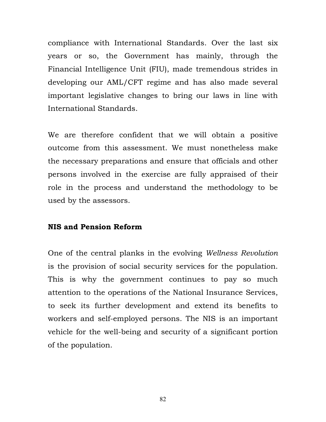compliance with International Standards. Over the last six years or so, the Government has mainly, through the Financial Intelligence Unit (FIU), made tremendous strides in developing our AML/CFT regime and has also made several important legislative changes to bring our laws in line with International Standards.

We are therefore confident that we will obtain a positive outcome from this assessment. We must nonetheless make the necessary preparations and ensure that officials and other persons involved in the exercise are fully appraised of their role in the process and understand the methodology to be used by the assessors.

# NIS and Pension Reform

One of the central planks in the evolving Wellness Revolution is the provision of social security services for the population. This is why the government continues to pay so much attention to the operations of the National Insurance Services, to seek its further development and extend its benefits to workers and self-employed persons. The NIS is an important vehicle for the well-being and security of a significant portion of the population.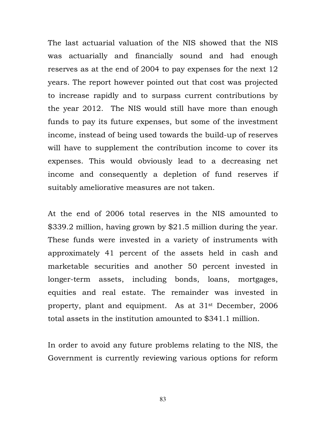The last actuarial valuation of the NIS showed that the NIS was actuarially and financially sound and had enough reserves as at the end of 2004 to pay expenses for the next 12 years. The report however pointed out that cost was projected to increase rapidly and to surpass current contributions by the year 2012. The NIS would still have more than enough funds to pay its future expenses, but some of the investment income, instead of being used towards the build-up of reserves will have to supplement the contribution income to cover its expenses. This would obviously lead to a decreasing net income and consequently a depletion of fund reserves if suitably ameliorative measures are not taken.

At the end of 2006 total reserves in the NIS amounted to \$339.2 million, having grown by \$21.5 million during the year. These funds were invested in a variety of instruments with approximately 41 percent of the assets held in cash and marketable securities and another 50 percent invested in longer-term assets, including bonds, loans, mortgages, equities and real estate. The remainder was invested in property, plant and equipment. As at 31st December, 2006 total assets in the institution amounted to \$341.1 million.

In order to avoid any future problems relating to the NIS, the Government is currently reviewing various options for reform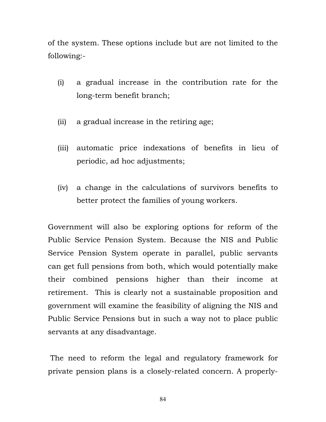of the system. These options include but are not limited to the following:-

- (i) a gradual increase in the contribution rate for the long-term benefit branch;
- (ii) a gradual increase in the retiring age;
- (iii) automatic price indexations of benefits in lieu of periodic, ad hoc adjustments;
- (iv) a change in the calculations of survivors benefits to better protect the families of young workers.

Government will also be exploring options for reform of the Public Service Pension System. Because the NIS and Public Service Pension System operate in parallel, public servants can get full pensions from both, which would potentially make their combined pensions higher than their income at retirement. This is clearly not a sustainable proposition and government will examine the feasibility of aligning the NIS and Public Service Pensions but in such a way not to place public servants at any disadvantage.

 The need to reform the legal and regulatory framework for private pension plans is a closely-related concern. A properly-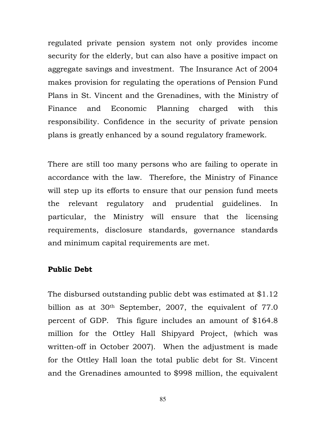regulated private pension system not only provides income security for the elderly, but can also have a positive impact on aggregate savings and investment. The Insurance Act of 2004 makes provision for regulating the operations of Pension Fund Plans in St. Vincent and the Grenadines, with the Ministry of Finance and Economic Planning charged with this responsibility. Confidence in the security of private pension plans is greatly enhanced by a sound regulatory framework.

There are still too many persons who are failing to operate in accordance with the law. Therefore, the Ministry of Finance will step up its efforts to ensure that our pension fund meets the relevant regulatory and prudential guidelines. In particular, the Ministry will ensure that the licensing requirements, disclosure standards, governance standards and minimum capital requirements are met.

#### Public Debt

The disbursed outstanding public debt was estimated at \$1.12 billion as at 30<sup>th</sup> September, 2007, the equivalent of 77.0 percent of GDP. This figure includes an amount of \$164.8 million for the Ottley Hall Shipyard Project, (which was written-off in October 2007). When the adjustment is made for the Ottley Hall loan the total public debt for St. Vincent and the Grenadines amounted to \$998 million, the equivalent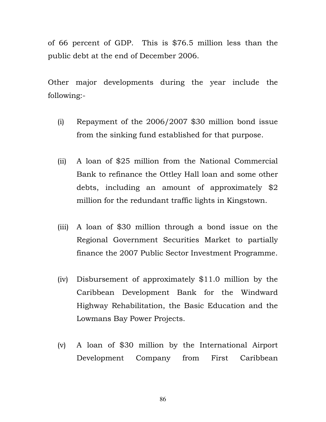of 66 percent of GDP. This is \$76.5 million less than the public debt at the end of December 2006.

Other major developments during the year include the following:-

- (i) Repayment of the 2006/2007 \$30 million bond issue from the sinking fund established for that purpose.
- (ii) A loan of \$25 million from the National Commercial Bank to refinance the Ottley Hall loan and some other debts, including an amount of approximately \$2 million for the redundant traffic lights in Kingstown.
- (iii) A loan of \$30 million through a bond issue on the Regional Government Securities Market to partially finance the 2007 Public Sector Investment Programme.
- (iv) Disbursement of approximately \$11.0 million by the Caribbean Development Bank for the Windward Highway Rehabilitation, the Basic Education and the Lowmans Bay Power Projects.
- (v) A loan of \$30 million by the International Airport Development Company from First Caribbean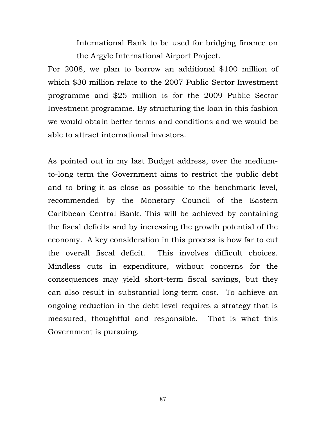International Bank to be used for bridging finance on the Argyle International Airport Project.

For 2008, we plan to borrow an additional \$100 million of which \$30 million relate to the 2007 Public Sector Investment programme and \$25 million is for the 2009 Public Sector Investment programme. By structuring the loan in this fashion we would obtain better terms and conditions and we would be able to attract international investors.

As pointed out in my last Budget address, over the mediumto-long term the Government aims to restrict the public debt and to bring it as close as possible to the benchmark level, recommended by the Monetary Council of the Eastern Caribbean Central Bank. This will be achieved by containing the fiscal deficits and by increasing the growth potential of the economy. A key consideration in this process is how far to cut the overall fiscal deficit. This involves difficult choices. Mindless cuts in expenditure, without concerns for the consequences may yield short-term fiscal savings, but they can also result in substantial long-term cost. To achieve an ongoing reduction in the debt level requires a strategy that is measured, thoughtful and responsible. That is what this Government is pursuing.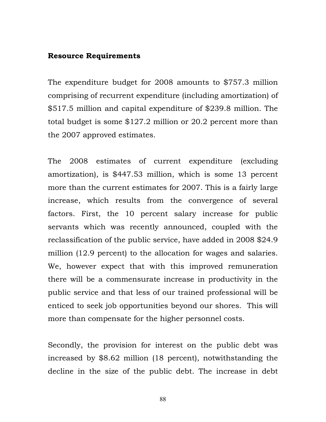## Resource Requirements

The expenditure budget for 2008 amounts to \$757.3 million comprising of recurrent expenditure (including amortization) of \$517.5 million and capital expenditure of \$239.8 million. The total budget is some \$127.2 million or 20.2 percent more than the 2007 approved estimates.

The 2008 estimates of current expenditure (excluding amortization), is \$447.53 million, which is some 13 percent more than the current estimates for 2007. This is a fairly large increase, which results from the convergence of several factors. First, the 10 percent salary increase for public servants which was recently announced, coupled with the reclassification of the public service, have added in 2008 \$24.9 million (12.9 percent) to the allocation for wages and salaries. We, however expect that with this improved remuneration there will be a commensurate increase in productivity in the public service and that less of our trained professional will be enticed to seek job opportunities beyond our shores. This will more than compensate for the higher personnel costs.

Secondly, the provision for interest on the public debt was increased by \$8.62 million (18 percent), notwithstanding the decline in the size of the public debt. The increase in debt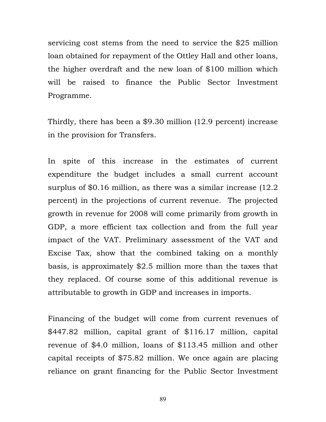servicing cost stems from the need to service the \$25 million loan obtained for repayment of the Ottley Hall and other loans, the higher overdraft and the new loan of \$100 million which will be raised to finance the Public Sector Investment Programme.

Thirdly, there has been a \$9.30 million (12.9 percent) increase in the provision for Transfers.

In spite of this increase in the estimates of current expenditure the budget includes a small current account surplus of \$0.16 million, as there was a similar increase (12.2 percent) in the projections of current revenue. The projected growth in revenue for 2008 will come primarily from growth in GDP, a more efficient tax collection and from the full year impact of the VAT. Preliminary assessment of the VAT and Excise Tax, show that the combined taking on a monthly basis, is approximately \$2.5 million more than the taxes that they replaced. Of course some of this additional revenue is attributable to growth in GDP and increases in imports.

Financing of the budget will come from current revenues of \$447.82 million, capital grant of \$116.17 million, capital revenue of \$4.0 million, loans of \$113.45 million and other capital receipts of \$75.82 million. We once again are placing reliance on grant financing for the Public Sector Investment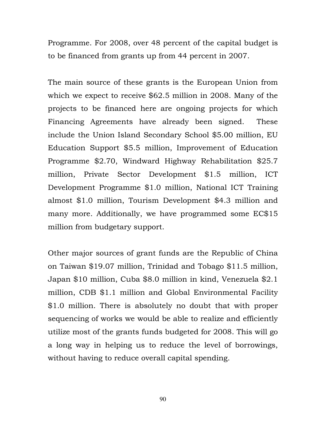Programme. For 2008, over 48 percent of the capital budget is to be financed from grants up from 44 percent in 2007.

The main source of these grants is the European Union from which we expect to receive \$62.5 million in 2008. Many of the projects to be financed here are ongoing projects for which Financing Agreements have already been signed. These include the Union Island Secondary School \$5.00 million, EU Education Support \$5.5 million, Improvement of Education Programme \$2.70, Windward Highway Rehabilitation \$25.7 million, Private Sector Development \$1.5 million, ICT Development Programme \$1.0 million, National ICT Training almost \$1.0 million, Tourism Development \$4.3 million and many more. Additionally, we have programmed some EC\$15 million from budgetary support.

Other major sources of grant funds are the Republic of China on Taiwan \$19.07 million, Trinidad and Tobago \$11.5 million, Japan \$10 million, Cuba \$8.0 million in kind, Venezuela \$2.1 million, CDB \$1.1 million and Global Environmental Facility \$1.0 million. There is absolutely no doubt that with proper sequencing of works we would be able to realize and efficiently utilize most of the grants funds budgeted for 2008. This will go a long way in helping us to reduce the level of borrowings, without having to reduce overall capital spending.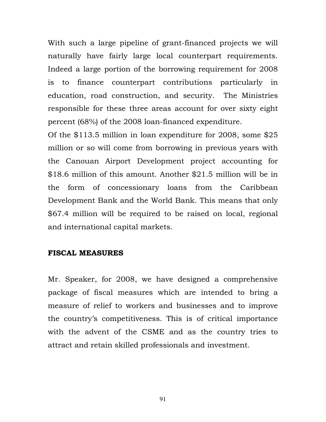With such a large pipeline of grant-financed projects we will naturally have fairly large local counterpart requirements. Indeed a large portion of the borrowing requirement for 2008 is to finance counterpart contributions particularly in education, road construction, and security. The Ministries responsible for these three areas account for over sixty eight percent (68%) of the 2008 loan-financed expenditure.

Of the \$113.5 million in loan expenditure for 2008, some \$25 million or so will come from borrowing in previous years with the Canouan Airport Development project accounting for \$18.6 million of this amount. Another \$21.5 million will be in the form of concessionary loans from the Caribbean Development Bank and the World Bank. This means that only \$67.4 million will be required to be raised on local, regional and international capital markets.

# FISCAL MEASURES

Mr. Speaker, for 2008, we have designed a comprehensive package of fiscal measures which are intended to bring a measure of relief to workers and businesses and to improve the country's competitiveness. This is of critical importance with the advent of the CSME and as the country tries to attract and retain skilled professionals and investment.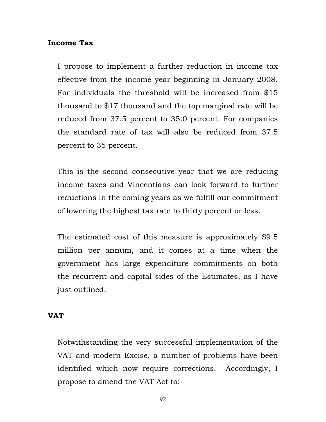## Income Tax

I propose to implement a further reduction in income tax effective from the income year beginning in January 2008. For individuals the threshold will be increased from \$15 thousand to \$17 thousand and the top marginal rate will be reduced from 37.5 percent to 35.0 percent. For companies the standard rate of tax will also be reduced from 37.5 percent to 35 percent.

This is the second consecutive year that we are reducing income taxes and Vincentians can look forward to further reductions in the coming years as we fulfill our commitment of lowering the highest tax rate to thirty percent or less.

The estimated cost of this measure is approximately \$9.5 million per annum, and it comes at a time when the government has large expenditure commitments on both the recurrent and capital sides of the Estimates, as I have just outlined.

### VAT

Notwithstanding the very successful implementation of the VAT and modern Excise, a number of problems have been identified which now require corrections. Accordingly, I propose to amend the VAT Act to:-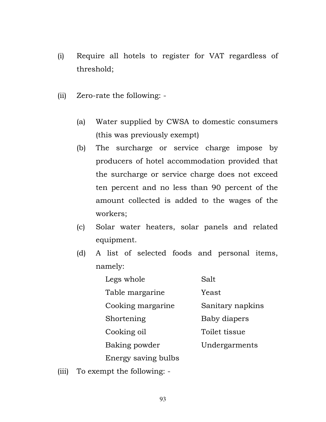- (i) Require all hotels to register for VAT regardless of threshold;
- (ii) Zero-rate the following:
	- (a) Water supplied by CWSA to domestic consumers (this was previously exempt)
	- (b) The surcharge or service charge impose by producers of hotel accommodation provided that the surcharge or service charge does not exceed ten percent and no less than 90 percent of the amount collected is added to the wages of the workers;
	- (c) Solar water heaters, solar panels and related equipment.
	- (d) A list of selected foods and personal items, namely:

| Salt             |
|------------------|
| Yeast            |
| Sanitary napkins |
| Baby diapers     |
| Toilet tissue    |
| Undergarments    |
|                  |
|                  |

(iii) To exempt the following: -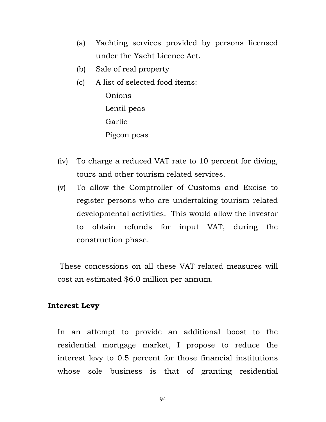- (a) Yachting services provided by persons licensed under the Yacht Licence Act.
- (b) Sale of real property
- (c) A list of selected food items:

Onions Lentil peas Garlic Pigeon peas

- (iv) To charge a reduced VAT rate to 10 percent for diving, tours and other tourism related services.
- (v) To allow the Comptroller of Customs and Excise to register persons who are undertaking tourism related developmental activities. This would allow the investor to obtain refunds for input VAT, during the construction phase.

 These concessions on all these VAT related measures will cost an estimated \$6.0 million per annum.

# Interest Levy

In an attempt to provide an additional boost to the residential mortgage market, I propose to reduce the interest levy to 0.5 percent for those financial institutions whose sole business is that of granting residential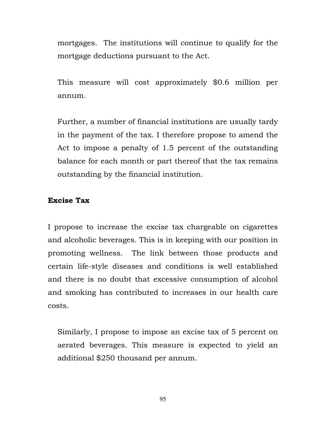mortgages. The institutions will continue to qualify for the mortgage deductions pursuant to the Act.

This measure will cost approximately \$0.6 million per annum.

Further, a number of financial institutions are usually tardy in the payment of the tax. I therefore propose to amend the Act to impose a penalty of 1.5 percent of the outstanding balance for each month or part thereof that the tax remains outstanding by the financial institution.

# Excise Tax

I propose to increase the excise tax chargeable on cigarettes and alcoholic beverages. This is in keeping with our position in promoting wellness. The link between those products and certain life-style diseases and conditions is well established and there is no doubt that excessive consumption of alcohol and smoking has contributed to increases in our health care costs.

Similarly, I propose to impose an excise tax of 5 percent on aerated beverages. This measure is expected to yield an additional \$250 thousand per annum.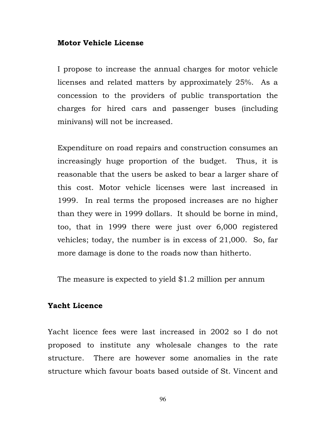#### Motor Vehicle License

I propose to increase the annual charges for motor vehicle licenses and related matters by approximately 25%. As a concession to the providers of public transportation the charges for hired cars and passenger buses (including minivans) will not be increased.

Expenditure on road repairs and construction consumes an increasingly huge proportion of the budget. Thus, it is reasonable that the users be asked to bear a larger share of this cost. Motor vehicle licenses were last increased in 1999. In real terms the proposed increases are no higher than they were in 1999 dollars. It should be borne in mind, too, that in 1999 there were just over 6,000 registered vehicles; today, the number is in excess of 21,000. So, far more damage is done to the roads now than hitherto.

The measure is expected to yield \$1.2 million per annum

# Yacht Licence

Yacht licence fees were last increased in 2002 so I do not proposed to institute any wholesale changes to the rate structure. There are however some anomalies in the rate structure which favour boats based outside of St. Vincent and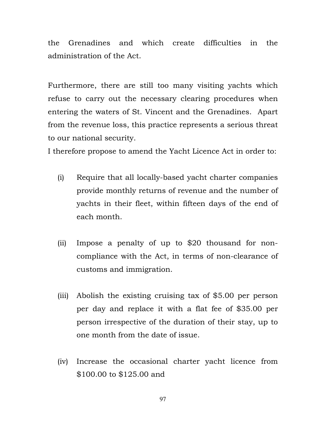the Grenadines and which create difficulties in the administration of the Act.

Furthermore, there are still too many visiting yachts which refuse to carry out the necessary clearing procedures when entering the waters of St. Vincent and the Grenadines. Apart from the revenue loss, this practice represents a serious threat to our national security.

I therefore propose to amend the Yacht Licence Act in order to:

- (i) Require that all locally-based yacht charter companies provide monthly returns of revenue and the number of yachts in their fleet, within fifteen days of the end of each month.
- (ii) Impose a penalty of up to \$20 thousand for noncompliance with the Act, in terms of non-clearance of customs and immigration.
- (iii) Abolish the existing cruising tax of \$5.00 per person per day and replace it with a flat fee of \$35.00 per person irrespective of the duration of their stay, up to one month from the date of issue.
- (iv) Increase the occasional charter yacht licence from \$100.00 to \$125.00 and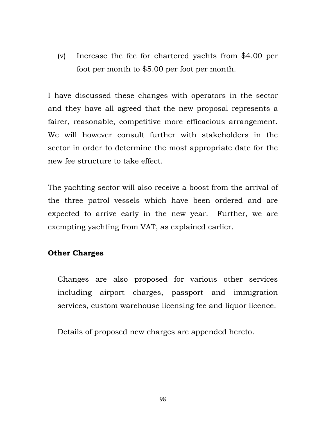(v) Increase the fee for chartered yachts from \$4.00 per foot per month to \$5.00 per foot per month.

I have discussed these changes with operators in the sector and they have all agreed that the new proposal represents a fairer, reasonable, competitive more efficacious arrangement. We will however consult further with stakeholders in the sector in order to determine the most appropriate date for the new fee structure to take effect.

The yachting sector will also receive a boost from the arrival of the three patrol vessels which have been ordered and are expected to arrive early in the new year. Further, we are exempting yachting from VAT, as explained earlier.

# Other Charges

Changes are also proposed for various other services including airport charges, passport and immigration services, custom warehouse licensing fee and liquor licence.

Details of proposed new charges are appended hereto.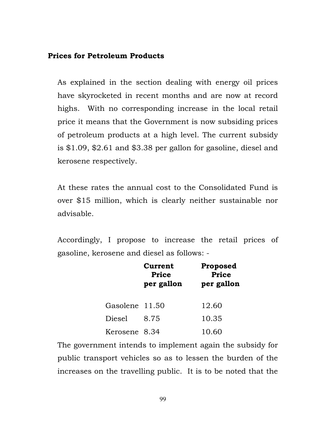## Prices for Petroleum Products

As explained in the section dealing with energy oil prices have skyrocketed in recent months and are now at record highs. With no corresponding increase in the local retail price it means that the Government is now subsiding prices of petroleum products at a high level. The current subsidy is \$1.09, \$2.61 and \$3.38 per gallon for gasoline, diesel and kerosene respectively.

At these rates the annual cost to the Consolidated Fund is over \$15 million, which is clearly neither sustainable nor advisable.

Accordingly, I propose to increase the retail prices of gasoline, kerosene and diesel as follows: -

|        | Current<br><b>Price</b><br>per gallon | <b>Proposed</b><br><b>Price</b><br>per gallon |
|--------|---------------------------------------|-----------------------------------------------|
|        | Gasolene 11.50                        | 12.60                                         |
| Diesel | 8.75                                  | 10.35                                         |
|        | Kerosene 8.34                         | 10.60                                         |

The government intends to implement again the subsidy for public transport vehicles so as to lessen the burden of the increases on the travelling public. It is to be noted that the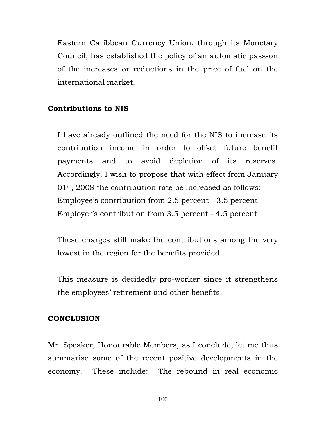Eastern Caribbean Currency Union, through its Monetary Council, has established the policy of an automatic pass-on of the increases or reductions in the price of fuel on the international market.

# Contributions to NIS

I have already outlined the need for the NIS to increase its contribution income in order to offset future benefit payments and to avoid depletion of its reserves. Accordingly, I wish to propose that with effect from January 01st, 2008 the contribution rate be increased as follows:- Employee's contribution from 2.5 percent - 3.5 percent Employer's contribution from 3.5 percent - 4.5 percent

These charges still make the contributions among the very lowest in the region for the benefits provided.

This measure is decidedly pro-worker since it strengthens the employees' retirement and other benefits.

### **CONCLUSION**

Mr. Speaker, Honourable Members, as I conclude, let me thus summarise some of the recent positive developments in the economy. These include: The rebound in real economic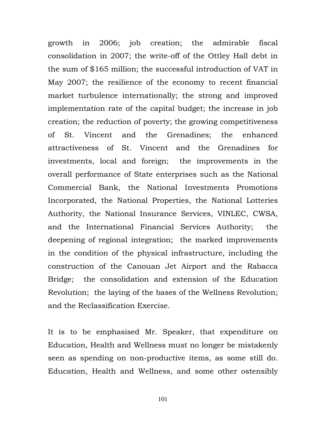growth in 2006; job creation; the admirable fiscal consolidation in 2007; the write-off of the Ottley Hall debt in the sum of \$165 million; the successful introduction of VAT in May 2007; the resilience of the economy to recent financial market turbulence internationally; the strong and improved implementation rate of the capital budget; the increase in job creation; the reduction of poverty; the growing competitiveness of St. Vincent and the Grenadines; the enhanced attractiveness of St. Vincent and the Grenadines for investments, local and foreign; the improvements in the overall performance of State enterprises such as the National Commercial Bank, the National Investments Promotions Incorporated, the National Properties, the National Lotteries Authority, the National Insurance Services, VINLEC, CWSA, and the International Financial Services Authority; the deepening of regional integration; the marked improvements in the condition of the physical infrastructure, including the construction of the Canouan Jet Airport and the Rabacca Bridge; the consolidation and extension of the Education Revolution; the laying of the bases of the Wellness Revolution; and the Reclassification Exercise.

It is to be emphasised Mr. Speaker, that expenditure on Education, Health and Wellness must no longer be mistakenly seen as spending on non-productive items, as some still do. Education, Health and Wellness, and some other ostensibly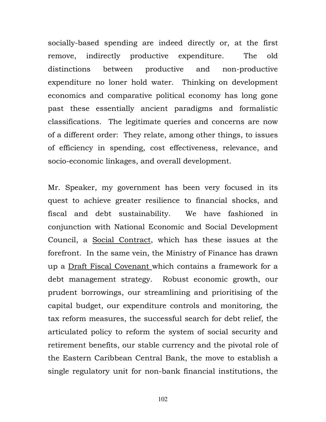socially-based spending are indeed directly or, at the first remove, indirectly productive expenditure. The old distinctions between productive and non-productive expenditure no loner hold water. Thinking on development economics and comparative political economy has long gone past these essentially ancient paradigms and formalistic classifications. The legitimate queries and concerns are now of a different order: They relate, among other things, to issues of efficiency in spending, cost effectiveness, relevance, and socio-economic linkages, and overall development.

Mr. Speaker, my government has been very focused in its quest to achieve greater resilience to financial shocks, and fiscal and debt sustainability. We have fashioned in conjunction with National Economic and Social Development Council, a Social Contract, which has these issues at the forefront. In the same vein, the Ministry of Finance has drawn up a Draft Fiscal Covenant which contains a framework for a debt management strategy. Robust economic growth, our prudent borrowings, our streamlining and prioritising of the capital budget, our expenditure controls and monitoring, the tax reform measures, the successful search for debt relief, the articulated policy to reform the system of social security and retirement benefits, our stable currency and the pivotal role of the Eastern Caribbean Central Bank, the move to establish a single regulatory unit for non-bank financial institutions, the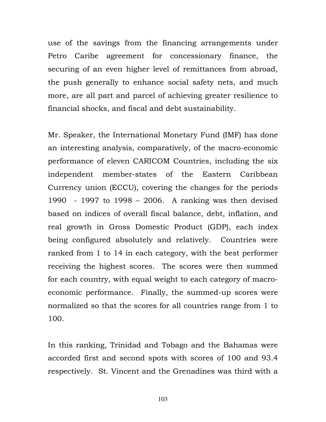use of the savings from the financing arrangements under Petro Caribe agreement for concessionary finance, the securing of an even higher level of remittances from abroad, the push generally to enhance social safety nets, and much more, are all part and parcel of achieving greater resilience to financial shocks, and fiscal and debt sustainability.

Mr. Speaker, the International Monetary Fund (IMF) has done an interesting analysis, comparatively, of the macro-economic performance of eleven CARICOM Countries, including the six independent member-states of the Eastern Caribbean Currency union (ECCU), covering the changes for the periods 1990 - 1997 to 1998 – 2006. A ranking was then devised based on indices of overall fiscal balance, debt, inflation, and real growth in Gross Domestic Product (GDP), each index being configured absolutely and relatively. Countries were ranked from 1 to 14 in each category, with the best performer receiving the highest scores. The scores were then summed for each country, with equal weight to each category of macroeconomic performance. Finally, the summed-up scores were normalized so that the scores for all countries range from 1 to 100.

In this ranking, Trinidad and Tobago and the Bahamas were accorded first and second spots with scores of 100 and 93.4 respectively. St. Vincent and the Grenadines was third with a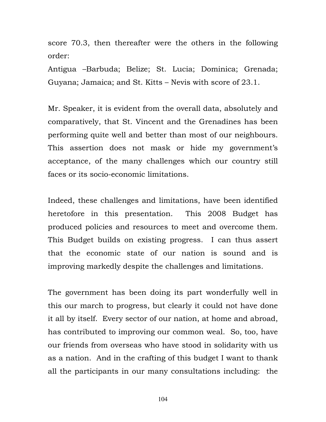score 70.3, then thereafter were the others in the following order:

Antigua –Barbuda; Belize; St. Lucia; Dominica; Grenada; Guyana; Jamaica; and St. Kitts – Nevis with score of 23.1.

Mr. Speaker, it is evident from the overall data, absolutely and comparatively, that St. Vincent and the Grenadines has been performing quite well and better than most of our neighbours. This assertion does not mask or hide my government's acceptance, of the many challenges which our country still faces or its socio-economic limitations.

Indeed, these challenges and limitations, have been identified heretofore in this presentation. This 2008 Budget has produced policies and resources to meet and overcome them. This Budget builds on existing progress. I can thus assert that the economic state of our nation is sound and is improving markedly despite the challenges and limitations.

The government has been doing its part wonderfully well in this our march to progress, but clearly it could not have done it all by itself. Every sector of our nation, at home and abroad, has contributed to improving our common weal. So, too, have our friends from overseas who have stood in solidarity with us as a nation. And in the crafting of this budget I want to thank all the participants in our many consultations including: the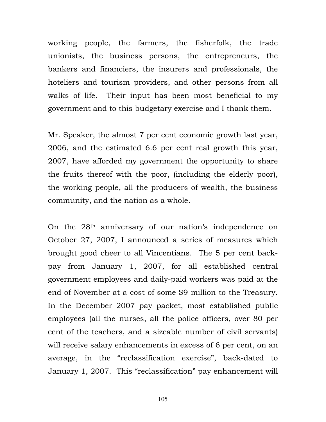working people, the farmers, the fisherfolk, the trade unionists, the business persons, the entrepreneurs, the bankers and financiers, the insurers and professionals, the hoteliers and tourism providers, and other persons from all walks of life. Their input has been most beneficial to my government and to this budgetary exercise and I thank them.

Mr. Speaker, the almost 7 per cent economic growth last year, 2006, and the estimated 6.6 per cent real growth this year, 2007, have afforded my government the opportunity to share the fruits thereof with the poor, (including the elderly poor), the working people, all the producers of wealth, the business community, and the nation as a whole.

On the 28th anniversary of our nation's independence on October 27, 2007, I announced a series of measures which brought good cheer to all Vincentians. The 5 per cent backpay from January 1, 2007, for all established central government employees and daily-paid workers was paid at the end of November at a cost of some \$9 million to the Treasury. In the December 2007 pay packet, most established public employees (all the nurses, all the police officers, over 80 per cent of the teachers, and a sizeable number of civil servants) will receive salary enhancements in excess of 6 per cent, on an average, in the "reclassification exercise", back-dated to January 1, 2007. This "reclassification" pay enhancement will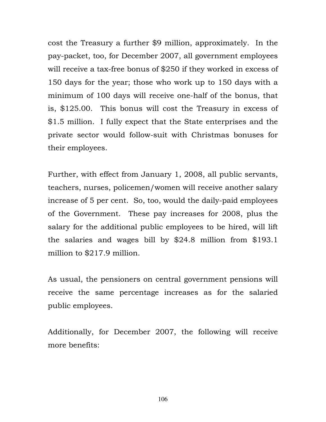cost the Treasury a further \$9 million, approximately. In the pay-packet, too, for December 2007, all government employees will receive a tax-free bonus of \$250 if they worked in excess of 150 days for the year; those who work up to 150 days with a minimum of 100 days will receive one-half of the bonus, that is, \$125.00. This bonus will cost the Treasury in excess of \$1.5 million. I fully expect that the State enterprises and the private sector would follow-suit with Christmas bonuses for their employees.

Further, with effect from January 1, 2008, all public servants, teachers, nurses, policemen/women will receive another salary increase of 5 per cent. So, too, would the daily-paid employees of the Government. These pay increases for 2008, plus the salary for the additional public employees to be hired, will lift the salaries and wages bill by \$24.8 million from \$193.1 million to \$217.9 million.

As usual, the pensioners on central government pensions will receive the same percentage increases as for the salaried public employees.

Additionally, for December 2007, the following will receive more benefits: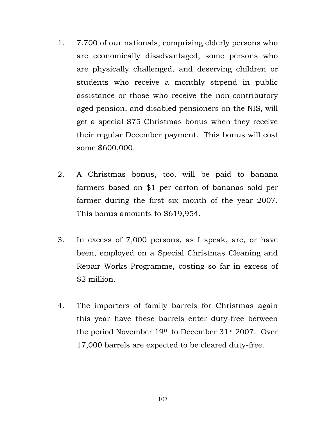- 1. 7,700 of our nationals, comprising elderly persons who are economically disadvantaged, some persons who are physically challenged, and deserving children or students who receive a monthly stipend in public assistance or those who receive the non-contributory aged pension, and disabled pensioners on the NIS, will get a special \$75 Christmas bonus when they receive their regular December payment. This bonus will cost some \$600,000.
- 2. A Christmas bonus, too, will be paid to banana farmers based on \$1 per carton of bananas sold per farmer during the first six month of the year 2007. This bonus amounts to \$619,954.
- 3. In excess of 7,000 persons, as I speak, are, or have been, employed on a Special Christmas Cleaning and Repair Works Programme, costing so far in excess of \$2 million.
- 4. The importers of family barrels for Christmas again this year have these barrels enter duty-free between the period November 19th to December 31st 2007. Over 17,000 barrels are expected to be cleared duty-free.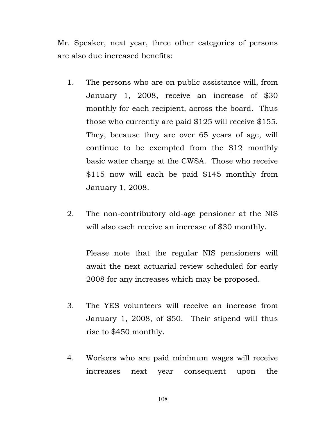Mr. Speaker, next year, three other categories of persons are also due increased benefits:

- 1. The persons who are on public assistance will, from January 1, 2008, receive an increase of \$30 monthly for each recipient, across the board. Thus those who currently are paid \$125 will receive \$155. They, because they are over 65 years of age, will continue to be exempted from the \$12 monthly basic water charge at the CWSA. Those who receive \$115 now will each be paid \$145 monthly from January 1, 2008.
- 2. The non-contributory old-age pensioner at the NIS will also each receive an increase of \$30 monthly.

Please note that the regular NIS pensioners will await the next actuarial review scheduled for early 2008 for any increases which may be proposed.

- 3. The YES volunteers will receive an increase from January 1, 2008, of \$50. Their stipend will thus rise to \$450 monthly.
- 4. Workers who are paid minimum wages will receive increases next year consequent upon the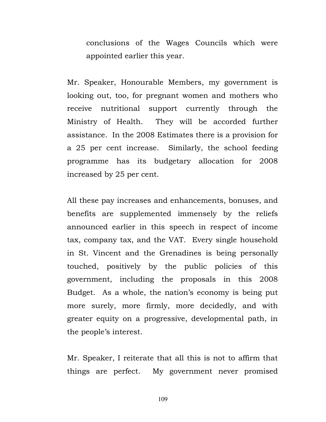conclusions of the Wages Councils which were appointed earlier this year.

Mr. Speaker, Honourable Members, my government is looking out, too, for pregnant women and mothers who receive nutritional support currently through the Ministry of Health. They will be accorded further assistance. In the 2008 Estimates there is a provision for a 25 per cent increase. Similarly, the school feeding programme has its budgetary allocation for 2008 increased by 25 per cent.

All these pay increases and enhancements, bonuses, and benefits are supplemented immensely by the reliefs announced earlier in this speech in respect of income tax, company tax, and the VAT. Every single household in St. Vincent and the Grenadines is being personally touched, positively by the public policies of this government, including the proposals in this 2008 Budget. As a whole, the nation's economy is being put more surely, more firmly, more decidedly, and with greater equity on a progressive, developmental path, in the people's interest.

Mr. Speaker, I reiterate that all this is not to affirm that things are perfect. My government never promised

109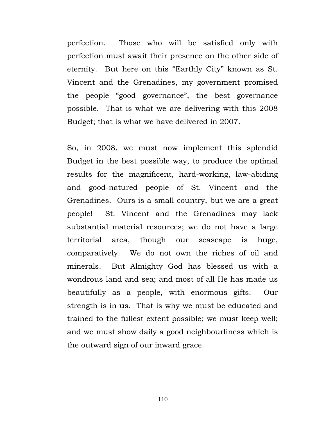perfection. Those who will be satisfied only with perfection must await their presence on the other side of eternity. But here on this "Earthly City" known as St. Vincent and the Grenadines, my government promised the people "good governance", the best governance possible. That is what we are delivering with this 2008 Budget; that is what we have delivered in 2007.

So, in 2008, we must now implement this splendid Budget in the best possible way, to produce the optimal results for the magnificent, hard-working, law-abiding and good-natured people of St. Vincent and the Grenadines. Ours is a small country, but we are a great people! St. Vincent and the Grenadines may lack substantial material resources; we do not have a large territorial area, though our seascape is huge, comparatively. We do not own the riches of oil and minerals. But Almighty God has blessed us with a wondrous land and sea; and most of all He has made us beautifully as a people, with enormous gifts. Our strength is in us. That is why we must be educated and trained to the fullest extent possible; we must keep well; and we must show daily a good neighbourliness which is the outward sign of our inward grace.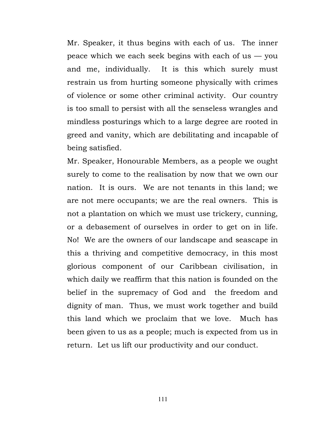Mr. Speaker, it thus begins with each of us. The inner peace which we each seek begins with each of us — you and me, individually. It is this which surely must restrain us from hurting someone physically with crimes of violence or some other criminal activity. Our country is too small to persist with all the senseless wrangles and mindless posturings which to a large degree are rooted in greed and vanity, which are debilitating and incapable of being satisfied.

Mr. Speaker, Honourable Members, as a people we ought surely to come to the realisation by now that we own our nation. It is ours. We are not tenants in this land; we are not mere occupants; we are the real owners. This is not a plantation on which we must use trickery, cunning, or a debasement of ourselves in order to get on in life. No! We are the owners of our landscape and seascape in this a thriving and competitive democracy, in this most glorious component of our Caribbean civilisation, in which daily we reaffirm that this nation is founded on the belief in the supremacy of God and the freedom and dignity of man. Thus, we must work together and build this land which we proclaim that we love. Much has been given to us as a people; much is expected from us in return. Let us lift our productivity and our conduct.

111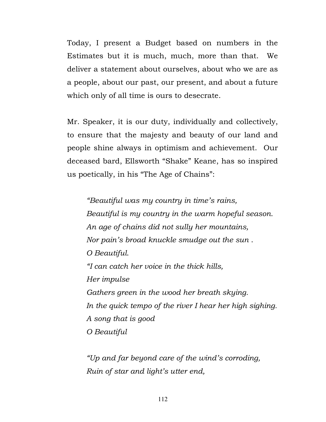Today, I present a Budget based on numbers in the Estimates but it is much, much, more than that. We deliver a statement about ourselves, about who we are as a people, about our past, our present, and about a future which only of all time is ours to desecrate.

Mr. Speaker, it is our duty, individually and collectively, to ensure that the majesty and beauty of our land and people shine always in optimism and achievement. Our deceased bard, Ellsworth "Shake" Keane, has so inspired us poetically, in his "The Age of Chains":

"Beautiful was my country in time's rains, Beautiful is my country in the warm hopeful season. An age of chains did not sully her mountains, Nor pain's broad knuckle smudge out the sun . O Beautiful. "I can catch her voice in the thick hills, Her impulse Gathers green in the wood her breath skying. In the quick tempo of the river I hear her high sighing. A song that is good O Beautiful

 "Up and far beyond care of the wind's corroding, Ruin of star and light's utter end,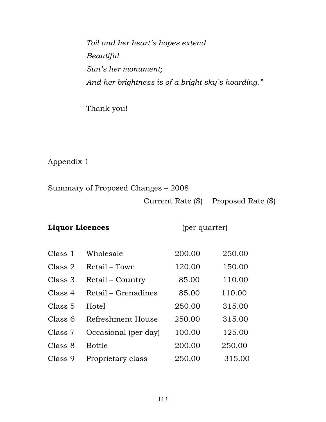Toil and her heart's hopes extend Beautiful. Sun's her monument; And her brightness is of a bright sky's hoarding."

Thank you!

Appendix 1

Summary of Proposed Changes – 2008 Current Rate (\$) Proposed Rate (\$)

### **Liquor Licences** (per quarter)

| Class 1 | Wholesale            | 200.00 | 250.00 |
|---------|----------------------|--------|--------|
| Class 2 | Retail – Town        | 120.00 | 150.00 |
| Class 3 | Retail - Country     | 85.00  | 110.00 |
| Class 4 | Retail – Grenadines  | 85.00  | 110.00 |
| Class 5 | Hotel                | 250.00 | 315.00 |
| Class 6 | Refreshment House    | 250.00 | 315.00 |
| Class 7 | Occasional (per day) | 100.00 | 125.00 |
| Class 8 | <b>Bottle</b>        | 200.00 | 250.00 |
| Class 9 | Proprietary class    | 250.00 | 315.00 |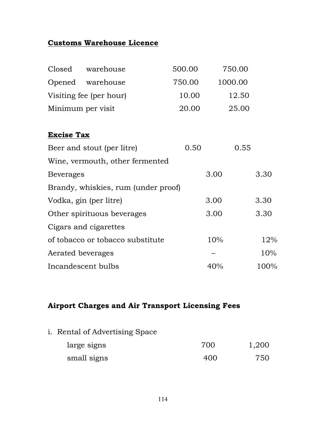## Customs Warehouse Licence

| Closed            | warehouse                           | 500.00 | 750.00  |      |
|-------------------|-------------------------------------|--------|---------|------|
|                   | Opened warehouse                    | 750.00 | 1000.00 |      |
|                   | Visiting fee (per hour)             | 10.00  | 12.50   |      |
| Minimum per visit |                                     | 20.00  | 25.00   |      |
|                   |                                     |        |         |      |
| <b>Excise Tax</b> |                                     |        |         |      |
|                   | Beer and stout (per litre)          | 0.50   | 0.55    |      |
|                   | Wine, vermouth, other fermented     |        |         |      |
| <b>Beverages</b>  |                                     |        | 3.00    | 3.30 |
|                   | Brandy, whiskies, rum (under proof) |        |         |      |
|                   | Vodka, gin (per litre)              |        | 3.00    | 3.30 |
|                   | Other spirituous beverages          |        | 3.00    | 3.30 |
|                   | Cigars and cigarettes               |        |         |      |
|                   | of tobacco or tobacco substitute    |        | 10%     | 12%  |
| Aerated beverages |                                     |        |         | 10%  |
|                   | Incandescent bulbs                  |        | 40%     | 100% |

### Airport Charges and Air Transport Licensing Fees

i. Rental of Advertising Space

| large signs | 700 | 1,200 |
|-------------|-----|-------|
| small signs | 400 | 750   |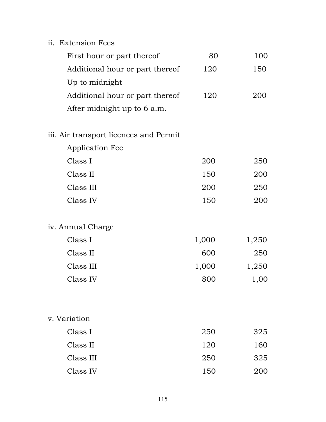| ii. Extension Fees                     |       |       |
|----------------------------------------|-------|-------|
| First hour or part thereof             | 80    | 100   |
| Additional hour or part thereof        | 120   | 150   |
| Up to midnight                         |       |       |
| Additional hour or part thereof        | 120   | 200   |
| After midnight up to 6 a.m.            |       |       |
| iii. Air transport licences and Permit |       |       |
| <b>Application Fee</b>                 |       |       |
| Class I                                | 200   | 250   |
| Class II                               | 150   | 200   |
| Class III                              | 200   | 250   |
| Class IV                               | 150   | 200   |
| iv. Annual Charge                      |       |       |
| Class I                                | 1,000 | 1,250 |
| Class II                               | 600   | 250   |
| Class III                              | 1,000 | 1,250 |
| Class IV                               | 800   | 1,00  |
|                                        |       |       |
| v. Variation                           |       |       |
| Class I                                | 250   | 325   |
| Class II                               | 120   | 160   |
| Class III                              | 250   | 325   |
| Class IV                               | 150   | 200   |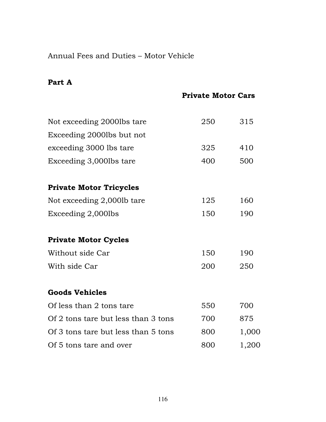## Annual Fees and Duties – Motor Vehicle

#### Part A

Private Motor Cars

| Not exceeding 2000lbs tare          | 250 | 315   |
|-------------------------------------|-----|-------|
| Exceeding 2000lbs but not           |     |       |
| exceeding 3000 lbs tare             | 325 | 410   |
| Exceeding 3,000lbs tare             | 400 | 500   |
| <b>Private Motor Tricycles</b>      |     |       |
| Not exceeding 2,000lb tare          | 125 | 160   |
| Exceeding 2,000lbs                  | 150 | 190   |
| <b>Private Motor Cycles</b>         |     |       |
| Without side Car                    | 150 | 190   |
| With side Car                       | 200 | 250   |
| <b>Goods Vehicles</b>               |     |       |
| Of less than 2 tons tare            | 550 | 700   |
| Of 2 tons tare but less than 3 tons | 700 | 875   |
| Of 3 tons tare but less than 5 tons | 800 | 1,000 |
| Of 5 tons tare and over             | 800 | 1,200 |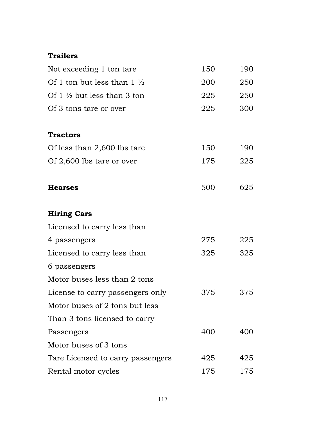# Trailers

| Not exceeding 1 ton tare              | 150 | 190 |
|---------------------------------------|-----|-----|
| Of 1 ton but less than $1\frac{1}{2}$ | 200 | 250 |
| Of $1\frac{1}{2}$ but less than 3 ton | 225 | 250 |
| Of 3 tons tare or over                | 225 | 300 |
| <b>Tractors</b>                       |     |     |
| Of less than 2,600 lbs tare           | 150 | 190 |
| Of 2,600 lbs tare or over             | 175 | 225 |
| <b>Hearses</b>                        | 500 | 625 |
| <b>Hiring Cars</b>                    |     |     |
| Licensed to carry less than           |     |     |
| 4 passengers                          | 275 | 225 |
| Licensed to carry less than           | 325 | 325 |
| 6 passengers                          |     |     |
| Motor buses less than 2 tons          |     |     |
| License to carry passengers only      | 375 | 375 |
| Motor buses of 2 tons but less        |     |     |
| Than 3 tons licensed to carry         |     |     |
| Passengers                            | 400 | 400 |
| Motor buses of 3 tons                 |     |     |
| Tare Licensed to carry passengers     | 425 | 425 |
| Rental motor cycles                   | 175 | 175 |